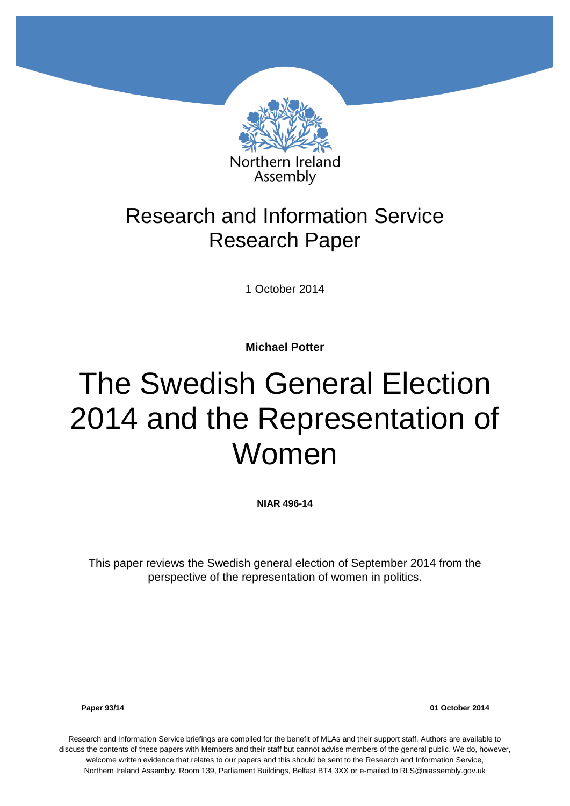

# Research and Information Service Research Paper

1 October 2014

**Michael Potter**

# The Swedish General Election 2014 and the Representation of Women

**NIAR 496-14**

This paper reviews the Swedish general election of September 2014 from the perspective of the representation of women in politics.

**Paper 93/14 01 October 2014**

Research and Information Service briefings are compiled for the benefit of MLAs and their support staff. Authors are available to discuss the contents of these papers with Members and their staff but cannot advise members of the general public. We do, however, welcome written evidence that relates to our papers and this should be sent to the Research and Information Service, Northern Ireland Assembly, Room 139, Parliament Buildings, Belfast BT4 3XX or e-mailed to RLS@niassembly.gov.uk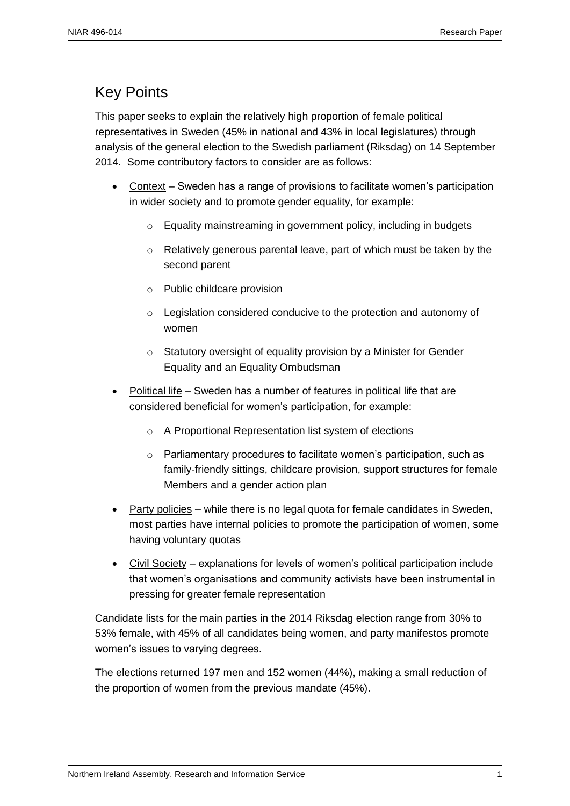# <span id="page-2-0"></span>Key Points

This paper seeks to explain the relatively high proportion of female political representatives in Sweden (45% in national and 43% in local legislatures) through analysis of the general election to the Swedish parliament (Riksdag) on 14 September 2014. Some contributory factors to consider are as follows:

- Context Sweden has a range of provisions to facilitate women's participation in wider society and to promote gender equality, for example:
	- o Equality mainstreaming in government policy, including in budgets
	- $\circ$  Relatively generous parental leave, part of which must be taken by the second parent
	- o Public childcare provision
	- o Legislation considered conducive to the protection and autonomy of women
	- o Statutory oversight of equality provision by a Minister for Gender Equality and an Equality Ombudsman
- Political life Sweden has a number of features in political life that are considered beneficial for women's participation, for example:
	- o A Proportional Representation list system of elections
	- o Parliamentary procedures to facilitate women's participation, such as family-friendly sittings, childcare provision, support structures for female Members and a gender action plan
- Party policies while there is no legal quota for female candidates in Sweden, most parties have internal policies to promote the participation of women, some having voluntary quotas
- Civil Society explanations for levels of women's political participation include that women's organisations and community activists have been instrumental in pressing for greater female representation

Candidate lists for the main parties in the 2014 Riksdag election range from 30% to 53% female, with 45% of all candidates being women, and party manifestos promote women's issues to varying degrees.

The elections returned 197 men and 152 women (44%), making a small reduction of the proportion of women from the previous mandate (45%).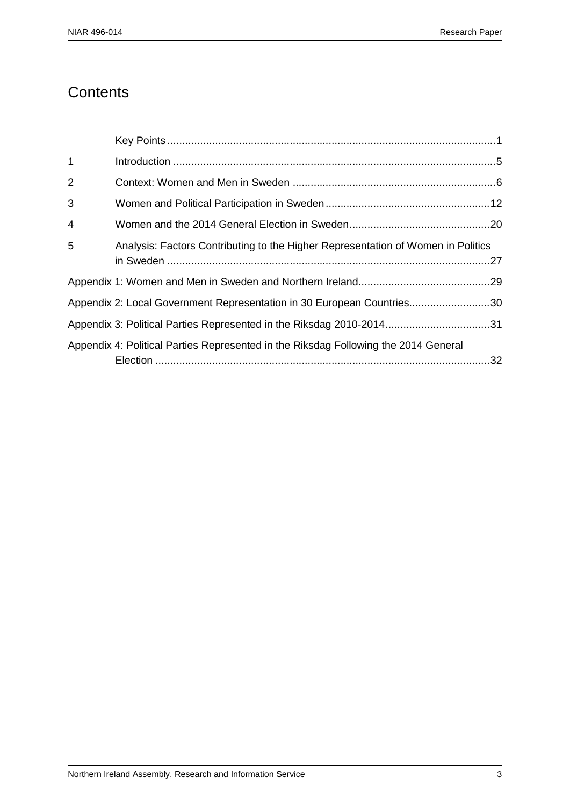# **Contents**

| $\mathbf{1}$ |                                                                                     |  |
|--------------|-------------------------------------------------------------------------------------|--|
| 2            |                                                                                     |  |
| 3            |                                                                                     |  |
| 4            |                                                                                     |  |
| 5            | Analysis: Factors Contributing to the Higher Representation of Women in Politics    |  |
|              |                                                                                     |  |
|              | Appendix 2: Local Government Representation in 30 European Countries30              |  |
|              | Appendix 3: Political Parties Represented in the Riksdag 2010-201431                |  |
|              | Appendix 4: Political Parties Represented in the Riksdag Following the 2014 General |  |
|              |                                                                                     |  |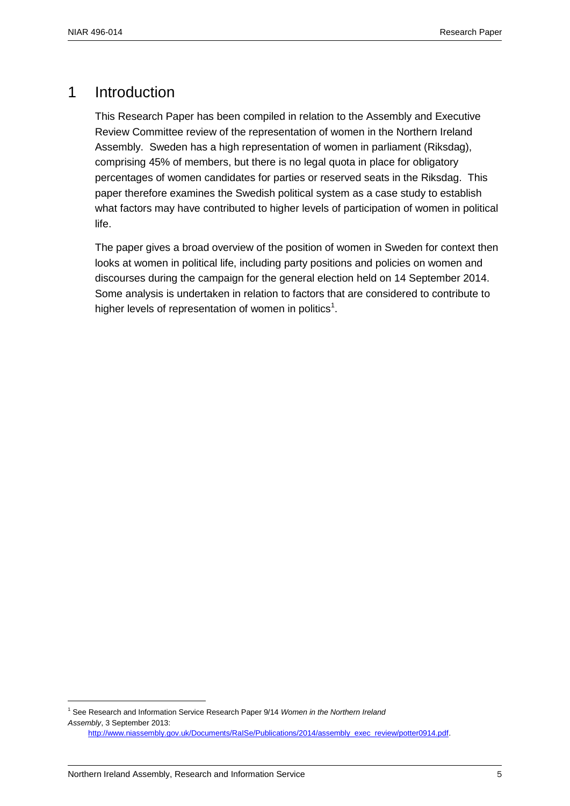## <span id="page-6-0"></span>1 Introduction

This Research Paper has been compiled in relation to the Assembly and Executive Review Committee review of the representation of women in the Northern Ireland Assembly. Sweden has a high representation of women in parliament (Riksdag), comprising 45% of members, but there is no legal quota in place for obligatory percentages of women candidates for parties or reserved seats in the Riksdag. This paper therefore examines the Swedish political system as a case study to establish what factors may have contributed to higher levels of participation of women in political life.

The paper gives a broad overview of the position of women in Sweden for context then looks at women in political life, including party positions and policies on women and discourses during the campaign for the general election held on 14 September 2014. Some analysis is undertaken in relation to factors that are considered to contribute to higher levels of representation of women in politics<sup>1</sup>.

<sup>1</sup> See Research and Information Service Research Paper 9/14 *Women in the Northern Ireland Assembly*, 3 September 2013:

[http://www.niassembly.gov.uk/Documents/RaISe/Publications/2014/assembly\\_exec\\_review/potter0914.pdf.](http://www.niassembly.gov.uk/Documents/RaISe/Publications/2014/assembly_exec_review/potter0914.pdf)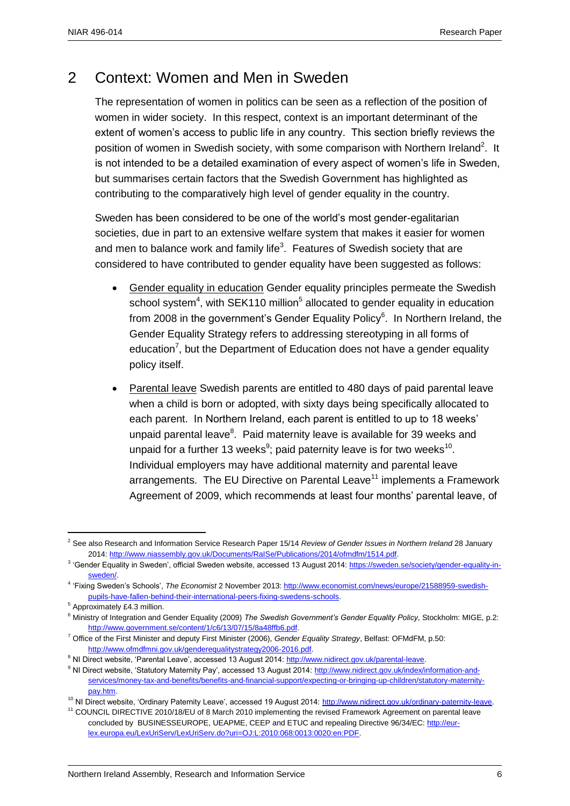# 2 Context: Women and Men in Sweden

The representation of women in politics can be seen as a reflection of the position of women in wider society. In this respect, context is an important determinant of the extent of women's access to public life in any country. This section briefly reviews the position of women in Swedish society, with some comparison with Northern Ireland<sup>2</sup>. It is not intended to be a detailed examination of every aspect of women's life in Sweden, but summarises certain factors that the Swedish Government has highlighted as contributing to the comparatively high level of gender equality in the country.

Sweden has been considered to be one of the world's most gender-egalitarian societies, due in part to an extensive welfare system that makes it easier for women and men to balance work and family life<sup>3</sup>. Features of Swedish society that are considered to have contributed to gender equality have been suggested as follows:

- Gender equality in education Gender equality principles permeate the Swedish school system<sup>4</sup>, with SEK110 million<sup>5</sup> allocated to gender equality in education from 2008 in the government's Gender Equality Policy<sup>6</sup>. In Northern Ireland, the Gender Equality Strategy refers to addressing stereotyping in all forms of education<sup>7</sup>, but the Department of Education does not have a gender equality policy itself.
- Parental leave Swedish parents are entitled to 480 days of paid parental leave when a child is born or adopted, with sixty days being specifically allocated to each parent. In Northern Ireland, each parent is entitled to up to 18 weeks' unpaid parental leave<sup>8</sup>. Paid maternity leave is available for 39 weeks and unpaid for a further 13 weeks<sup>9</sup>; paid paternity leave is for two weeks<sup>10</sup>. Individual employers may have additional maternity and parental leave arrangements. The EU Directive on Parental Leave<sup>11</sup> implements a Framework Agreement of 2009, which recommends at least four months' parental leave, of

<sup>2</sup> See also Research and Information Service Research Paper 15/14 *Review of Gender Issues in Northern Ireland* 28 January 2014[: http://www.niassembly.gov.uk/Documents/RaISe/Publications/2014/ofmdfm/1514.pdf.](http://www.niassembly.gov.uk/Documents/RaISe/Publications/2014/ofmdfm/1514.pdf) 

<sup>&</sup>lt;sup>3</sup> 'Gender Equality in Sweden', official Sweden website, accessed 13 August 2014: [https://sweden.se/society/gender-equality-in](https://sweden.se/society/gender-equality-in-sweden/)[sweden/.](https://sweden.se/society/gender-equality-in-sweden/)

<sup>4</sup> 'Fixing Sweden's Schools', *The Economist* 2 November 2013[: http://www.economist.com/news/europe/21588959-swedish](http://www.economist.com/news/europe/21588959-swedish-pupils-have-fallen-behind-their-international-peers-fixing-swedens-schools)[pupils-have-fallen-behind-their-international-peers-fixing-swedens-schools.](http://www.economist.com/news/europe/21588959-swedish-pupils-have-fallen-behind-their-international-peers-fixing-swedens-schools)

<sup>5</sup> Approximately £4.3 million.

<sup>6</sup> Ministry of Integration and Gender Equality (2009) *The Swedish Government's Gender Equality Policy*, Stockholm: MIGE, p.2: [http://www.government.se/content/1/c6/13/07/15/8a48ffb6.pdf.](http://www.government.se/content/1/c6/13/07/15/8a48ffb6.pdf) 

<sup>7</sup> Office of the First Minister and deputy First Minister (2006), *Gender Equality Strategy*, Belfast: OFMdFM, p.50: [http://www.ofmdfmni.gov.uk/genderequalitystrategy2006-2016.pdf.](http://www.ofmdfmni.gov.uk/genderequalitystrategy2006-2016.pdf)

<sup>&</sup>lt;sup>8</sup> NI Direct website, 'Parental Leave', accessed 13 August 2014: [http://www.nidirect.gov.uk/parental-leave.](http://www.nidirect.gov.uk/parental-leave)

<sup>&</sup>lt;sup>9</sup> NI Direct website, 'Statutory Maternity Pay', accessed 13 August 2014[: http://www.nidirect.gov.uk/index/information-and](http://www.nidirect.gov.uk/index/information-and-services/money-tax-and-benefits/benefits-and-financial-support/expecting-or-bringing-up-children/statutory-maternity-pay.htm)[services/money-tax-and-benefits/benefits-and-financial-support/expecting-or-bringing-up-children/statutory-maternity](http://www.nidirect.gov.uk/index/information-and-services/money-tax-and-benefits/benefits-and-financial-support/expecting-or-bringing-up-children/statutory-maternity-pay.htm)[pay.htm.](http://www.nidirect.gov.uk/index/information-and-services/money-tax-and-benefits/benefits-and-financial-support/expecting-or-bringing-up-children/statutory-maternity-pay.htm) 

<sup>&</sup>lt;sup>10</sup> NI Direct website, 'Ordinary Paternity Leave', accessed 19 August 2014[: http://www.nidirect.gov.uk/ordinary-paternity-leave.](http://www.nidirect.gov.uk/ordinary-paternity-leave)

<sup>11</sup> COUNCIL DIRECTIVE 2010/18/EU of 8 March 2010 implementing the revised Framework Agreement on parental leave concluded by BUSINESSEUROPE, UEAPME, CEEP and ETUC and repealing Directive 96/34/EC: [http://eur](http://eur-lex.europa.eu/LexUriServ/LexUriServ.do?uri=OJ:L:2010:068:0013:0020:en:PDF)[lex.europa.eu/LexUriServ/LexUriServ.do?uri=OJ:L:2010:068:0013:0020:en:PDF.](http://eur-lex.europa.eu/LexUriServ/LexUriServ.do?uri=OJ:L:2010:068:0013:0020:en:PDF)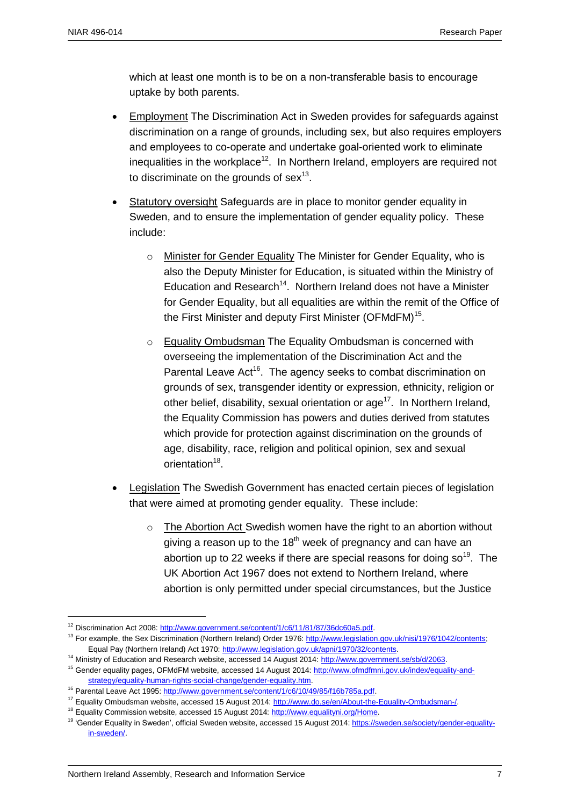$\overline{a}$ 

which at least one month is to be on a non-transferable basis to encourage uptake by both parents.

- Employment The Discrimination Act in Sweden provides for safeguards against discrimination on a range of grounds, including sex, but also requires employers and employees to co-operate and undertake goal-oriented work to eliminate inequalities in the workplace<sup>12</sup>. In Northern Ireland, employers are required not to discriminate on the grounds of sex $^{13}$ .
- Statutory oversight Safeguards are in place to monitor gender equality in Sweden, and to ensure the implementation of gender equality policy. These include:
	- o Minister for Gender Equality The Minister for Gender Equality, who is also the Deputy Minister for Education, is situated within the Ministry of Education and Research<sup>14</sup>. Northern Ireland does not have a Minister for Gender Equality, but all equalities are within the remit of the Office of the First Minister and deputy First Minister (OFMdFM) $^{15}$ .
	- o Equality Ombudsman The Equality Ombudsman is concerned with overseeing the implementation of the Discrimination Act and the Parental Leave Act<sup>16</sup>. The agency seeks to combat discrimination on grounds of sex, transgender identity or expression, ethnicity, religion or other belief, disability, sexual orientation or age<sup>17</sup>. In Northern Ireland, the Equality Commission has powers and duties derived from statutes which provide for protection against discrimination on the grounds of age, disability, race, religion and political opinion, sex and sexual orientation<sup>18</sup>.
- Legislation The Swedish Government has enacted certain pieces of legislation that were aimed at promoting gender equality. These include:
	- o The Abortion Act Swedish women have the right to an abortion without giving a reason up to the  $18<sup>th</sup>$  week of pregnancy and can have an abortion up to 22 weeks if there are special reasons for doing so<sup>19</sup>. The UK Abortion Act 1967 does not extend to Northern Ireland, where abortion is only permitted under special circumstances, but the Justice

<sup>14</sup> Ministry of Education and Research website, accessed 14 August 2014: [http://www.government.se/sb/d/2063.](http://www.government.se/sb/d/2063)

<sup>&</sup>lt;sup>12</sup> Discrimination Act 2008: http://www.government.se/content/1/c6/11/81/87/36dc60a5.pdf.

<sup>&</sup>lt;sup>13</sup> For example, the Sex Discrimination (Northern Ireland) Order 1976: http://www.legislation.gov.uk/nisi/1976/1042/contents; Equal Pay (Northern Ireland) Act 1970: [http://www.legislation.gov.uk/apni/1970/32/contents.](http://www.legislation.gov.uk/apni/1970/32/contents)

<sup>&</sup>lt;sup>15</sup> Gender equality pages, OFMdFM website, accessed 14 August 2014[: http://www.ofmdfmni.gov.uk/index/equality-and](http://www.ofmdfmni.gov.uk/index/equality-and-strategy/equality-human-rights-social-change/gender-equality.htm)[strategy/equality-human-rights-social-change/gender-equality.htm.](http://www.ofmdfmni.gov.uk/index/equality-and-strategy/equality-human-rights-social-change/gender-equality.htm)

<sup>&</sup>lt;sup>16</sup> Parental Leave Act 1995: http://www.government.se/content/1/c6/10/49/85/f16b785a.pdf.

<sup>&</sup>lt;sup>17</sup> Equality Ombudsman website, accessed 15 August 2014[: http://www.do.se/en/About-the-Equality-Ombudsman-/.](http://www.do.se/en/About-the-Equality-Ombudsman-/)

<sup>&</sup>lt;sup>18</sup> Equality Commission website, accessed 15 August 2014: http://www.equalityni.org/Home.

<sup>&</sup>lt;sup>19</sup> 'Gender Equality in Sweden', official Sweden website, accessed 15 August 2014: [https://sweden.se/society/gender-equality](https://sweden.se/society/gender-equality-in-sweden/)[in-sweden/.](https://sweden.se/society/gender-equality-in-sweden/)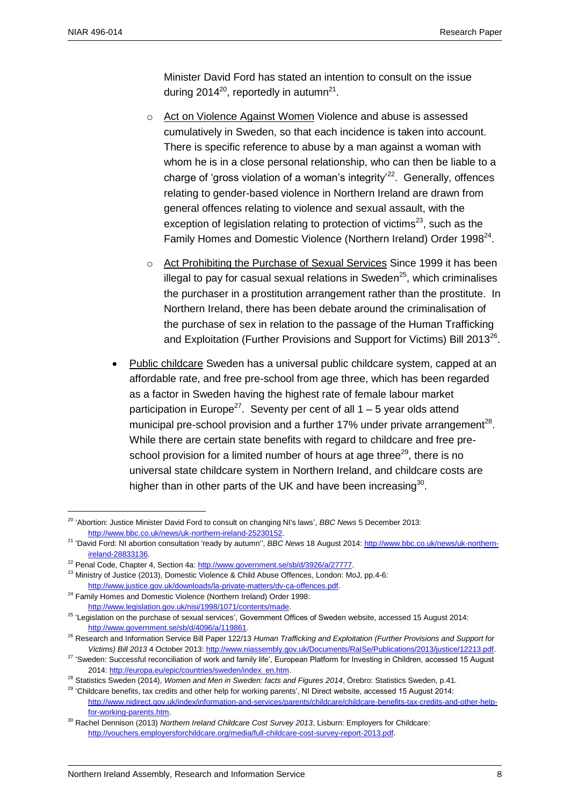$\overline{a}$ 

Minister David Ford has stated an intention to consult on the issue during 2014<sup>20</sup>, reportedly in autumn<sup>21</sup>.

- o Act on Violence Against Women Violence and abuse is assessed cumulatively in Sweden, so that each incidence is taken into account. There is specific reference to abuse by a man against a woman with whom he is in a close personal relationship, who can then be liable to a charge of 'gross violation of a woman's integrity<sup>22</sup>. Generally, offences relating to gender-based violence in Northern Ireland are drawn from general offences relating to violence and sexual assault, with the exception of legislation relating to protection of victims<sup>23</sup>, such as the Family Homes and Domestic Violence (Northern Ireland) Order 1998<sup>24</sup>.
- o Act Prohibiting the Purchase of Sexual Services Since 1999 it has been illegal to pay for casual sexual relations in Sweden<sup>25</sup>, which criminalises the purchaser in a prostitution arrangement rather than the prostitute. In Northern Ireland, there has been debate around the criminalisation of the purchase of sex in relation to the passage of the Human Trafficking and Exploitation (Further Provisions and Support for Victims) Bill 2013<sup>26</sup>.
- Public childcare Sweden has a universal public childcare system, capped at an affordable rate, and free pre-school from age three, which has been regarded as a factor in Sweden having the highest rate of female labour market participation in Europe<sup>27</sup>. Seventy per cent of all  $1 - 5$  year olds attend municipal pre-school provision and a further 17% under private arrangement<sup>28</sup>. While there are certain state benefits with regard to childcare and free preschool provision for a limited number of hours at age three<sup>29</sup>, there is no universal state childcare system in Northern Ireland, and childcare costs are higher than in other parts of the UK and have been increasing $^{30}$ .

<sup>&</sup>lt;sup>20</sup> 'Abortion: Justice Minister David Ford to consult on changing NI's laws', *BBC News* 5 December 2013: [http://www.bbc.co.uk/news/uk-northern-ireland-25230152.](http://www.bbc.co.uk/news/uk-northern-ireland-25230152)

<sup>21</sup> 'David Ford: NI abortion consultation 'ready by autumn'', *BBC News* 18 August 2014[: http://www.bbc.co.uk/news/uk-northern](http://www.bbc.co.uk/news/uk-northern-ireland-28833136)[ireland-28833136.](http://www.bbc.co.uk/news/uk-northern-ireland-28833136) 

<sup>&</sup>lt;sup>22</sup> Penal Code, Chapter 4, Section 4a: [http://www.government.se/sb/d/3926/a/27777.](http://www.government.se/sb/d/3926/a/27777)

<sup>&</sup>lt;sup>23</sup> Ministry of Justice (2013), Domestic Violence & Child Abuse Offences, London: MoJ, pp.4-6: [http://www.justice.gov.uk/downloads/la-private-matters/dv-ca-offences.pdf.](http://www.justice.gov.uk/downloads/la-private-matters/dv-ca-offences.pdf)

<sup>&</sup>lt;sup>24</sup> Family Homes and Domestic Violence (Northern Ireland) Order 1998: [http://www.legislation.gov.uk/nisi/1998/1071/contents/made.](http://www.legislation.gov.uk/nisi/1998/1071/contents/made)

<sup>&</sup>lt;sup>25</sup> 'Legislation on the purchase of sexual services', Government Offices of Sweden website, accessed 15 August 2014: [http://www.government.se/sb/d/4096/a/119861.](http://www.government.se/sb/d/4096/a/119861) 

<sup>26</sup> Research and Information Service Bill Paper 122/13 *Human Trafficking and Exploitation (Further Provisions and Support for Victims) Bill 2013* 4 October 2013[: http://www.niassembly.gov.uk/Documents/RaISe/Publications/2013/justice/12213.pdf.](http://www.niassembly.gov.uk/Documents/RaISe/Publications/2013/justice/12213.pdf)

<sup>&</sup>lt;sup>27</sup> 'Sweden: Successful reconciliation of work and family life', European Platform for Investing in Children, accessed 15 August 2014[: http://europa.eu/epic/countries/sweden/index\\_en.htm.](http://europa.eu/epic/countries/sweden/index_en.htm)

<sup>28</sup> Statistics Sweden (2014), *Women and Men in Sweden: facts and Figures 2014*, Örebro: Statistics Sweden, p.41.

 $^{29}$  'Childcare benefits, tax credits and other help for working parents', NI Direct website, accessed 15 August 2014: [http://www.nidirect.gov.uk/index/information-and-services/parents/childcare/childcare-benefits-tax-credits-and-other-help](http://www.nidirect.gov.uk/index/information-and-services/parents/childcare/childcare-benefits-tax-credits-and-other-help-for-working-parents.htm)[for-working-parents.htm.](http://www.nidirect.gov.uk/index/information-and-services/parents/childcare/childcare-benefits-tax-credits-and-other-help-for-working-parents.htm) 

<sup>30</sup> Rachel Dennison (2013) *Northern Ireland Childcare Cost Survey 2013*, Lisburn: Employers for Childcare: [http://vouchers.employersforchildcare.org/media/full-childcare-cost-survey-report-2013.pdf.](http://vouchers.employersforchildcare.org/media/full-childcare-cost-survey-report-2013.pdf)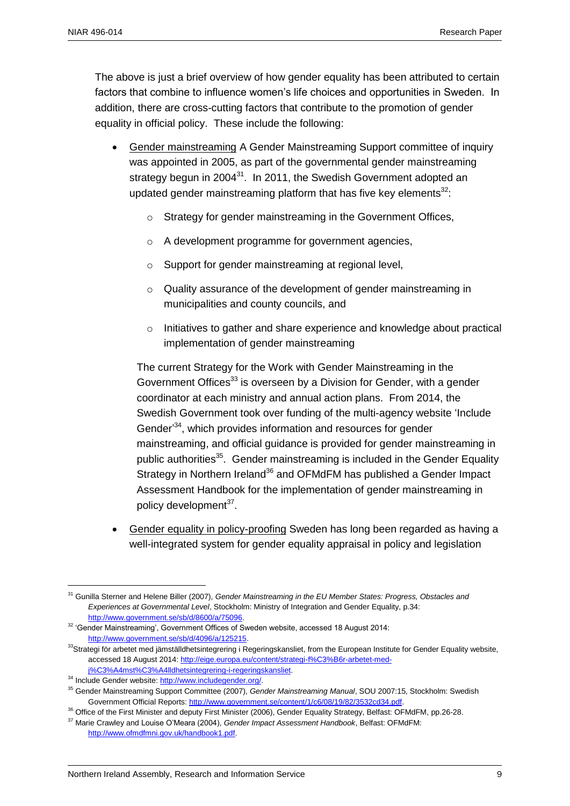The above is just a brief overview of how gender equality has been attributed to certain factors that combine to influence women's life choices and opportunities in Sweden. In addition, there are cross-cutting factors that contribute to the promotion of gender equality in official policy. These include the following:

- Gender mainstreaming A Gender Mainstreaming Support committee of inquiry was appointed in 2005, as part of the governmental gender mainstreaming strategy begun in 2004 $^{31}$ . In 2011, the Swedish Government adopted an updated gender mainstreaming platform that has five key elements $32$ :
	- o Strategy for gender mainstreaming in the Government Offices,
	- o A development programme for government agencies,
	- o Support for gender mainstreaming at regional level,
	- o Quality assurance of the development of gender mainstreaming in municipalities and county councils, and
	- $\circ$  Initiatives to gather and share experience and knowledge about practical implementation of gender mainstreaming

The current Strategy for the Work with Gender Mainstreaming in the Government Offices<sup>33</sup> is overseen by a Division for Gender, with a gender coordinator at each ministry and annual action plans. From 2014, the Swedish Government took over funding of the multi-agency website 'Include Gender<sup>34</sup>, which provides information and resources for gender mainstreaming, and official guidance is provided for gender mainstreaming in public authorities<sup>35</sup>. Gender mainstreaming is included in the Gender Equality Strategy in Northern Ireland<sup>36</sup> and OFMdFM has published a Gender Impact Assessment Handbook for the implementation of gender mainstreaming in policy development<sup>37</sup>.

 Gender equality in policy-proofing Sweden has long been regarded as having a well-integrated system for gender equality appraisal in policy and legislation

 $\overline{a}$ <sup>31</sup> Gunilla Sterner and Helene Biller (2007), *Gender Mainstreaming in the EU Member States: Progress, Obstacles and Experiences at Governmental Level*, Stockholm: Ministry of Integration and Gender Equality, p.34: [http://www.government.se/sb/d/8600/a/75096.](http://www.government.se/sb/d/8600/a/75096)

<sup>&</sup>lt;sup>32</sup> 'Gender Mainstreaming', Government Offices of Sweden website, accessed 18 August 2014: [http://www.government.se/sb/d/4096/a/125215.](http://www.government.se/sb/d/4096/a/125215) 

<sup>33</sup>Strategi för arbetet med jämställdhetsintegrering i Regeringskansliet, from the European Institute for Gender Equality website, accessed 18 August 2014[: http://eige.europa.eu/content/strategi-f%C3%B6r-arbetet-med](http://eige.europa.eu/content/strategi-f%C3%B6r-arbetet-med-j%C3%A4mst%C3%A4lldhetsintegrering-i-regeringskansliet)[j%C3%A4mst%C3%A4lldhetsintegrering-i-regeringskansliet.](http://eige.europa.eu/content/strategi-f%C3%B6r-arbetet-med-j%C3%A4mst%C3%A4lldhetsintegrering-i-regeringskansliet)

<sup>34</sup> Include Gender website[: http://www.includegender.org/.](http://www.includegender.org/)

<sup>35</sup> Gender Mainstreaming Support Committee (2007), *Gender Mainstreaming Manual*, SOU 2007:15, Stockholm: Swedish Government Official Reports[: http://www.government.se/content/1/c6/08/19/82/3532cd34.pdf.](http://www.government.se/content/1/c6/08/19/82/3532cd34.pdf)

<sup>&</sup>lt;sup>36</sup> Office of the First Minister and deputy First Minister (2006), Gender Equality Strategy, Belfast: OFMdFM, pp.26-28. <sup>37</sup> Marie Crawley and Louise O'Meara (2004), *Gender Impact Assessment Handbook*, Belfast: OFMdFM:

[http://www.ofmdfmni.gov.uk/handbook1.pdf.](http://www.ofmdfmni.gov.uk/handbook1.pdf)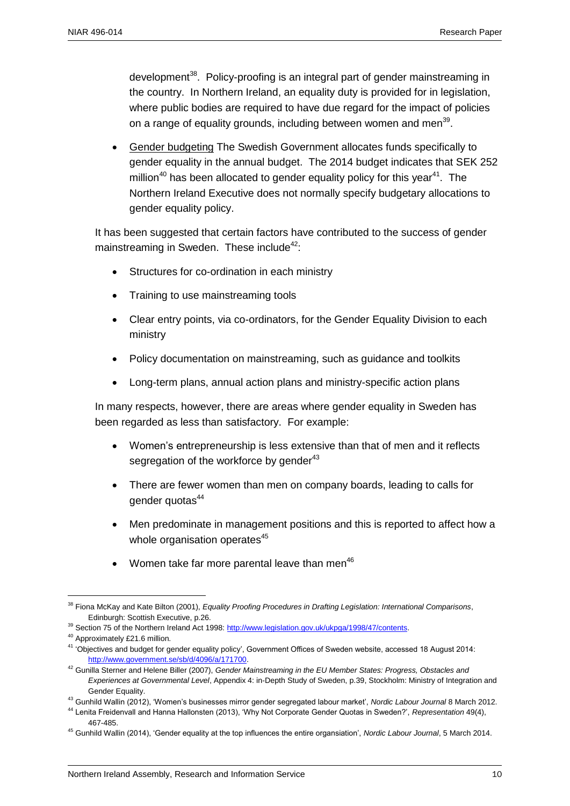development<sup>38</sup>. Policy-proofing is an integral part of gender mainstreaming in the country. In Northern Ireland, an equality duty is provided for in legislation, where public bodies are required to have due regard for the impact of policies on a range of equality grounds, including between women and men<sup>39</sup>.

 Gender budgeting The Swedish Government allocates funds specifically to gender equality in the annual budget. The 2014 budget indicates that SEK 252 million<sup>40</sup> has been allocated to gender equality policy for this year<sup>41</sup>. The Northern Ireland Executive does not normally specify budgetary allocations to gender equality policy.

It has been suggested that certain factors have contributed to the success of gender mainstreaming in Sweden. These include<sup>42</sup>:

- Structures for co-ordination in each ministry
- Training to use mainstreaming tools
- Clear entry points, via co-ordinators, for the Gender Equality Division to each ministry
- Policy documentation on mainstreaming, such as guidance and toolkits
- Long-term plans, annual action plans and ministry-specific action plans

In many respects, however, there are areas where gender equality in Sweden has been regarded as less than satisfactory. For example:

- Women's entrepreneurship is less extensive than that of men and it reflects segregation of the workforce by gender<sup>43</sup>
- There are fewer women than men on company boards, leading to calls for gender quotas<sup>44</sup>
- Men predominate in management positions and this is reported to affect how a whole organisation operates<sup>45</sup>
- Women take far more parental leave than men $46$

 $\overline{a}$ <sup>38</sup> Fiona McKay and Kate Bilton (2001), *Equality Proofing Procedures in Drafting Legislation: International Comparisons*, Edinburgh: Scottish Executive, p.26.

<sup>&</sup>lt;sup>39</sup> Section 75 of the Northern Ireland Act 1998: http://www.legislation.gov.uk/ukpga/1998/47/contents.

<sup>40</sup> Approximately £21.6 million.

<sup>&</sup>lt;sup>41</sup> 'Objectives and budget for gender equality policy', Government Offices of Sweden website, accessed 18 August 2014: [http://www.government.se/sb/d/4096/a/171700.](http://www.government.se/sb/d/4096/a/171700) 

<sup>42</sup> Gunilla Sterner and Helene Biller (2007), *Gender Mainstreaming in the EU Member States: Progress, Obstacles and Experiences at Governmental Level*, Appendix 4: in-Depth Study of Sweden, p.39, Stockholm: Ministry of Integration and Gender Equality.

<sup>43</sup> Gunhild Wallin (2012), 'Women's businesses mirror gender segregated labour market', *Nordic Labour Journal* 8 March 2012. <sup>44</sup> Lenita Freidenvall and Hanna Hallonsten (2013), 'Why Not Corporate Gender Quotas in Sweden?', *Representation* 49(4), 467-485.

<sup>45</sup> Gunhild Wallin (2014), 'Gender equality at the top influences the entire organsiation', *Nordic Labour Journal*, 5 March 2014.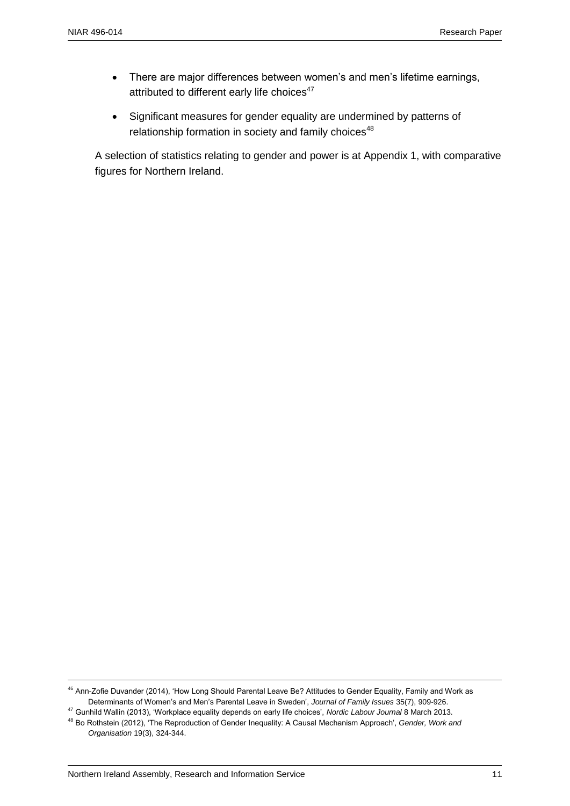- There are major differences between women's and men's lifetime earnings, attributed to different early life choices<sup>47</sup>
- Significant measures for gender equality are undermined by patterns of relationship formation in society and family choices<sup>48</sup>

A selection of statistics relating to gender and power is at Appendix 1, with comparative figures for Northern Ireland.

<sup>&</sup>lt;sup>46</sup> Ann-Zofie Duvander (2014), 'How Long Should Parental Leave Be? Attitudes to Gender Equality, Family and Work as Determinants of Women's and Men's Parental Leave in Sweden', *Journal of Family Issues* 35(7), 909-926.

<sup>47</sup> Gunhild Wallin (2013), 'Workplace equality depends on early life choices', *Nordic Labour Journal* 8 March 2013. <sup>48</sup> Bo Rothstein (2012), 'The Reproduction of Gender Inequality: A Causal Mechanism Approach', *Gender, Work and* 

*Organisation* 19(3), 324-344.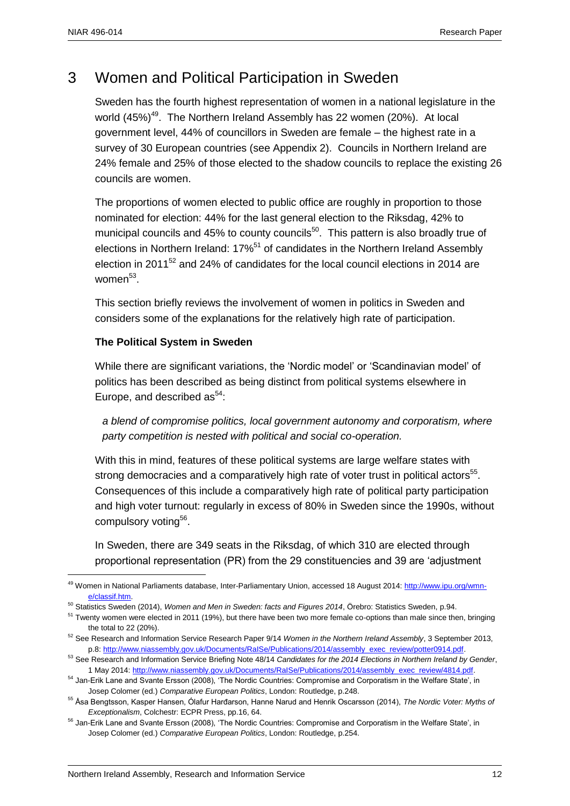$\overline{a}$ 

# 3 Women and Political Participation in Sweden

Sweden has the fourth highest representation of women in a national legislature in the world (45%)<sup>49</sup>. The Northern Ireland Assembly has 22 women (20%). At local government level, 44% of councillors in Sweden are female – the highest rate in a survey of 30 European countries (see Appendix 2). Councils in Northern Ireland are 24% female and 25% of those elected to the shadow councils to replace the existing 26 councils are women.

The proportions of women elected to public office are roughly in proportion to those nominated for election: 44% for the last general election to the Riksdag, 42% to municipal councils and 45% to county councils<sup>50</sup>. This pattern is also broadly true of elections in Northern Ireland: 17%<sup>51</sup> of candidates in the Northern Ireland Assembly election in 2011 $52$  and 24% of candidates for the local council elections in 2014 are women<sup>53</sup>.

This section briefly reviews the involvement of women in politics in Sweden and considers some of the explanations for the relatively high rate of participation.

#### **The Political System in Sweden**

While there are significant variations, the 'Nordic model' or 'Scandinavian model' of politics has been described as being distinct from political systems elsewhere in Europe, and described as  $54$ :

*a blend of compromise politics, local government autonomy and corporatism, where party competition is nested with political and social co-operation.*

With this in mind, features of these political systems are large welfare states with strong democracies and a comparatively high rate of voter trust in political actors<sup>55</sup>. Consequences of this include a comparatively high rate of political party participation and high voter turnout: regularly in excess of 80% in Sweden since the 1990s, without compulsory voting<sup>56</sup>.

In Sweden, there are 349 seats in the Riksdag, of which 310 are elected through proportional representation (PR) from the 29 constituencies and 39 are 'adjustment

<sup>&</sup>lt;sup>49</sup> Women in National Parliaments database, Inter-Parliamentary Union, accessed 18 August 2014[: http://www.ipu.org/wmn](http://www.ipu.org/wmn-e/classif.htm)[e/classif.htm.](http://www.ipu.org/wmn-e/classif.htm) 

<sup>50</sup> Statistics Sweden (2014), *Women and Men in Sweden: facts and Figures 2014*, Örebro: Statistics Sweden, p.94.

<sup>&</sup>lt;sup>51</sup> Twenty women were elected in 2011 (19%), but there have been two more female co-options than male since then, bringing the total to 22 (20%).

<sup>52</sup> See Research and Information Service Research Paper 9/14 *Women in the Northern Ireland Assembly*, 3 September 2013, p.8[: http://www.niassembly.gov.uk/Documents/RaISe/Publications/2014/assembly\\_exec\\_review/potter0914.pdf.](http://www.niassembly.gov.uk/Documents/RaISe/Publications/2014/assembly_exec_review/potter0914.pdf) 

<sup>53</sup> See Research and Information Service Briefing Note 48/14 *Candidates for the 2014 Elections in Northern Ireland by Gender*, 1 May 2014[: http://www.niassembly.gov.uk/Documents/RaISe/Publications/2014/assembly\\_exec\\_review/4814.pdf.](http://www.niassembly.gov.uk/Documents/RaISe/Publications/2014/assembly_exec_review/4814.pdf) 

<sup>&</sup>lt;sup>54</sup> Jan-Erik Lane and Svante Ersson (2008), 'The Nordic Countries: Compromise and Corporatism in the Welfare State', in Josep Colomer (ed.) *Comparative European Politics*, London: Routledge, p.248.

<sup>55</sup> Åsa Bengtsson, Kasper Hansen, Ólafur Harđarson, Hanne Narud and Henrik Oscarsson (2014), *The Nordic Voter: Myths of Exceptionalism*, Colchestr: ECPR Press, pp.16, 64.

<sup>&</sup>lt;sup>56</sup> Jan-Erik Lane and Svante Ersson (2008), 'The Nordic Countries: Compromise and Corporatism in the Welfare State', in Josep Colomer (ed.) *Comparative European Politics*, London: Routledge, p.254.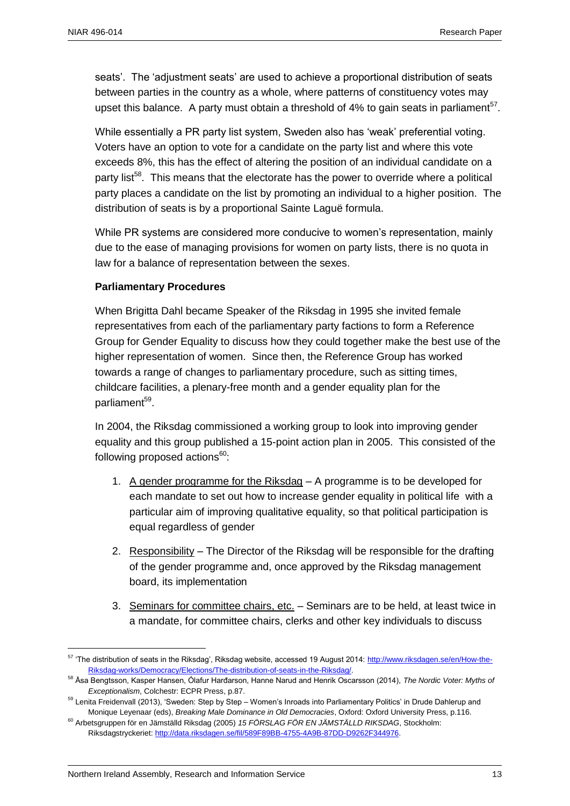seats'. The 'adjustment seats' are used to achieve a proportional distribution of seats between parties in the country as a whole, where patterns of constituency votes may upset this balance. A party must obtain a threshold of  $4\%$  to gain seats in parliament<sup>57</sup>.

While essentially a PR party list system, Sweden also has 'weak' preferential voting. Voters have an option to vote for a candidate on the party list and where this vote exceeds 8%, this has the effect of altering the position of an individual candidate on a party list<sup>58</sup>. This means that the electorate has the power to override where a political party places a candidate on the list by promoting an individual to a higher position. The distribution of seats is by a proportional Sainte Laguë formula.

While PR systems are considered more conducive to women's representation, mainly due to the ease of managing provisions for women on party lists, there is no quota in law for a balance of representation between the sexes.

#### **Parliamentary Procedures**

When Brigitta Dahl became Speaker of the Riksdag in 1995 she invited female representatives from each of the parliamentary party factions to form a Reference Group for Gender Equality to discuss how they could together make the best use of the higher representation of women. Since then, the Reference Group has worked towards a range of changes to parliamentary procedure, such as sitting times, childcare facilities, a plenary-free month and a gender equality plan for the parliament<sup>59</sup>.

In 2004, the Riksdag commissioned a working group to look into improving gender equality and this group published a 15-point action plan in 2005. This consisted of the following proposed actions $60$ :

- 1. A gender programme for the Riksdag A programme is to be developed for each mandate to set out how to increase gender equality in political life with a particular aim of improving qualitative equality, so that political participation is equal regardless of gender
- 2. Responsibility The Director of the Riksdag will be responsible for the drafting of the gender programme and, once approved by the Riksdag management board, its implementation
- 3. Seminars for committee chairs, etc. Seminars are to be held, at least twice in a mandate, for committee chairs, clerks and other key individuals to discuss

<sup>&</sup>lt;sup>57</sup> 'The distribution of seats in the Riksdag', Riksdag website, accessed 19 August 2014[: http://www.riksdagen.se/en/How-the-](http://www.riksdagen.se/en/How-the-Riksdag-works/Democracy/Elections/The-distribution-of-seats-in-the-Riksdag/)[Riksdag-works/Democracy/Elections/The-distribution-of-seats-in-the-Riksdag/.](http://www.riksdagen.se/en/How-the-Riksdag-works/Democracy/Elections/The-distribution-of-seats-in-the-Riksdag/)

<sup>58</sup> Åsa Bengtsson, Kasper Hansen, Ólafur Harđarson, Hanne Narud and Henrik Oscarsson (2014), *The Nordic Voter: Myths of Exceptionalism*, Colchestr: ECPR Press, p.87.

<sup>&</sup>lt;sup>59</sup> Lenita Freidenvall (2013), 'Sweden: Step by Step – Women's Inroads into Parliamentary Politics' in Drude Dahlerup and Monique Leyenaar (eds), *Breaking Male Dominance in Old Democracies*, Oxford: Oxford University Press, p.116.

<sup>60</sup> Arbetsgruppen för en Jämställd Riksdag (2005) *15 FÖRSLAG FÖR EN JÄMSTÄLLD RIKSDAG*, Stockholm: Riksdagstryckeriet: [http://data.riksdagen.se/fil/589F89BB-4755-4A9B-87DD-D9262F344976.](http://data.riksdagen.se/fil/589F89BB-4755-4A9B-87DD-D9262F344976)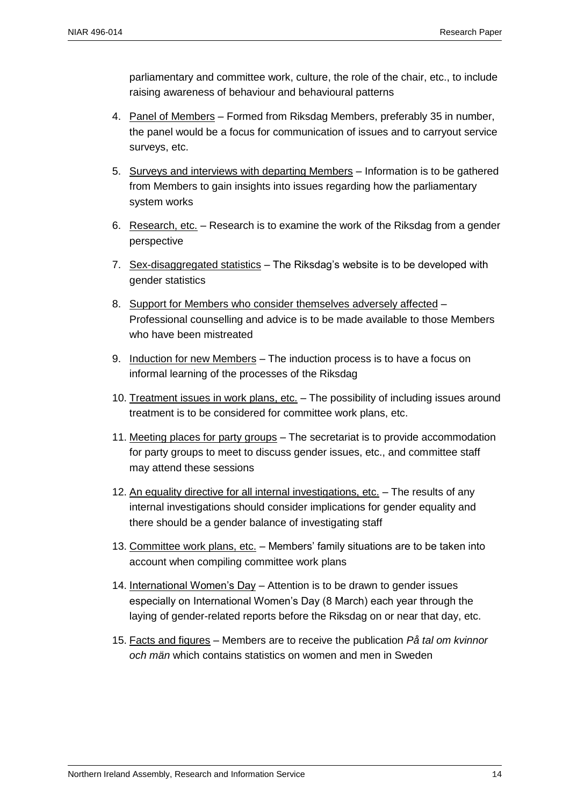parliamentary and committee work, culture, the role of the chair, etc., to include raising awareness of behaviour and behavioural patterns

- 4. Panel of Members Formed from Riksdag Members, preferably 35 in number, the panel would be a focus for communication of issues and to carryout service surveys, etc.
- 5. Surveys and interviews with departing Members Information is to be gathered from Members to gain insights into issues regarding how the parliamentary system works
- 6. Research, etc. Research is to examine the work of the Riksdag from a gender perspective
- 7. Sex-disaggregated statistics The Riksdag's website is to be developed with gender statistics
- 8. Support for Members who consider themselves adversely affected Professional counselling and advice is to be made available to those Members who have been mistreated
- 9. Induction for new Members The induction process is to have a focus on informal learning of the processes of the Riksdag
- 10. Treatment issues in work plans, etc. The possibility of including issues around treatment is to be considered for committee work plans, etc.
- 11. Meeting places for party groups The secretariat is to provide accommodation for party groups to meet to discuss gender issues, etc., and committee staff may attend these sessions
- 12. An equality directive for all internal investigations, etc. The results of any internal investigations should consider implications for gender equality and there should be a gender balance of investigating staff
- 13. Committee work plans, etc. Members' family situations are to be taken into account when compiling committee work plans
- 14. International Women's Day Attention is to be drawn to gender issues especially on International Women's Day (8 March) each year through the laying of gender-related reports before the Riksdag on or near that day, etc.
- 15. Facts and figures Members are to receive the publication *På tal om kvinnor och män* which contains statistics on women and men in Sweden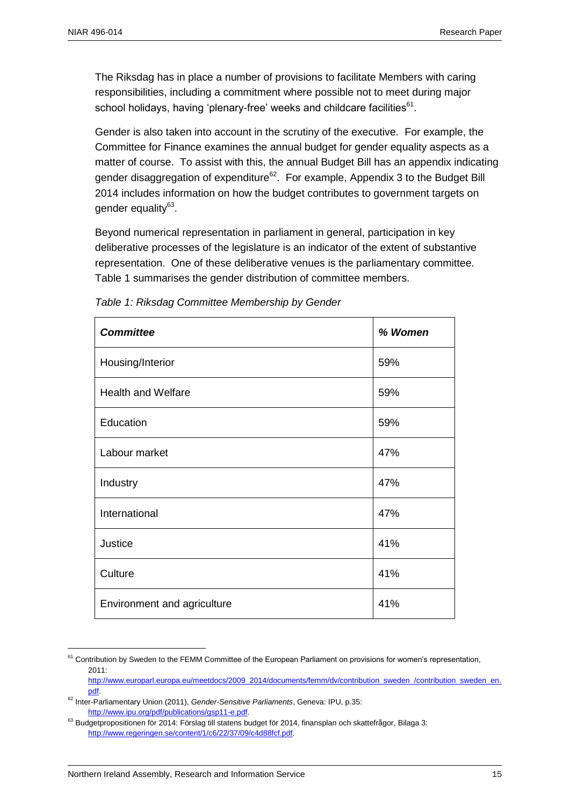The Riksdag has in place a number of provisions to facilitate Members with caring responsibilities, including a commitment where possible not to meet during major school holidays, having 'plenary-free' weeks and childcare facilities<sup>61</sup>.

Gender is also taken into account in the scrutiny of the executive. For example, the Committee for Finance examines the annual budget for gender equality aspects as a matter of course. To assist with this, the annual Budget Bill has an appendix indicating gender disaggregation of expenditure<sup>62</sup>. For example, Appendix 3 to the Budget Bill 2014 includes information on how the budget contributes to government targets on gender equality<sup>63</sup>.

Beyond numerical representation in parliament in general, participation in key deliberative processes of the legislature is an indicator of the extent of substantive representation. One of these deliberative venues is the parliamentary committee. Table 1 summarises the gender distribution of committee members.

| <b>Committee</b>            | % Women |
|-----------------------------|---------|
| Housing/Interior            | 59%     |
| <b>Health and Welfare</b>   | 59%     |
| Education                   | 59%     |
| Labour market               | 47%     |
| Industry                    | 47%     |
| International               | 47%     |
| Justice                     | 41%     |
| Culture                     | 41%     |
| Environment and agriculture | 41%     |

*Table 1: Riksdag Committee Membership by Gender*

<sup>&</sup>lt;sup>61</sup> Contribution by Sweden to the FEMM Committee of the European Parliament on provisions for women's representation,  $2011$ 

[http://www.europarl.europa.eu/meetdocs/2009\\_2014/documents/femm/dv/contribution\\_sweden\\_/contribution\\_sweden\\_en.](http://www.europarl.europa.eu/meetdocs/2009_2014/documents/femm/dv/contribution_sweden_/contribution_sweden_en.pdf) [pdf.](http://www.europarl.europa.eu/meetdocs/2009_2014/documents/femm/dv/contribution_sweden_/contribution_sweden_en.pdf) 

<sup>62</sup> Inter-Parliamentary Union (2011), *Gender-Sensitive Parliaments*, Geneva: IPU, p.35: [http://www.ipu.org/pdf/publications/gsp11-e.pdf.](http://www.ipu.org/pdf/publications/gsp11-e.pdf) 

<sup>&</sup>lt;sup>63</sup> Budgetpropositionen för 2014: Förslag till statens budget för 2014, finansplan och skattefrågor, Bilaga 3: [http://www.regeringen.se/content/1/c6/22/37/09/c4d88fcf.pdf.](http://www.regeringen.se/content/1/c6/22/37/09/c4d88fcf.pdf)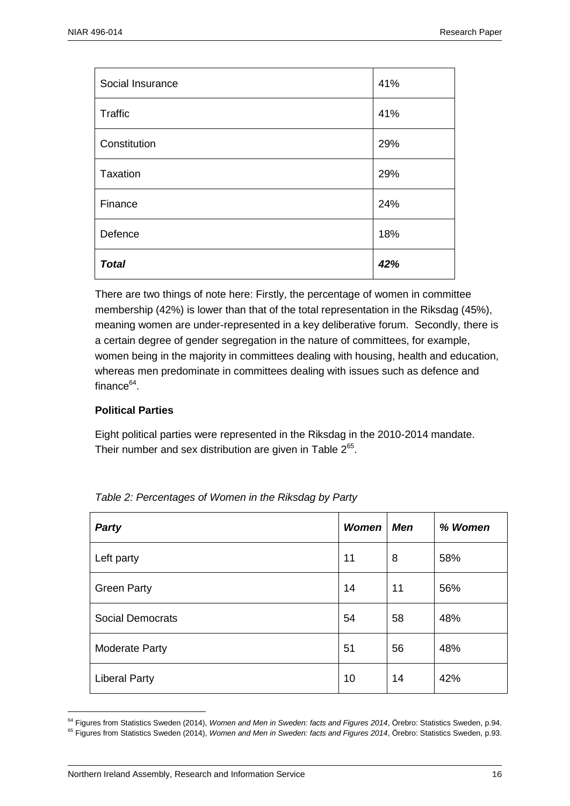| Social Insurance | 41% |
|------------------|-----|
| Traffic          | 41% |
| Constitution     | 29% |
| Taxation         | 29% |
| Finance          | 24% |
| Defence          | 18% |
| <b>Total</b>     | 42% |

There are two things of note here: Firstly, the percentage of women in committee membership (42%) is lower than that of the total representation in the Riksdag (45%), meaning women are under-represented in a key deliberative forum. Secondly, there is a certain degree of gender segregation in the nature of committees, for example, women being in the majority in committees dealing with housing, health and education, whereas men predominate in committees dealing with issues such as defence and finance<sup>64</sup>.

#### **Political Parties**

 $\overline{a}$ 

Eight political parties were represented in the Riksdag in the 2010-2014 mandate. Their number and sex distribution are given in Table  $2^{65}$ .

| Party                   | <b>Women</b> | <b>Men</b> | % Women |
|-------------------------|--------------|------------|---------|
| Left party              | 11           | 8          | 58%     |
| <b>Green Party</b>      | 14           | 11         | 56%     |
| <b>Social Democrats</b> | 54           | 58         | 48%     |
| <b>Moderate Party</b>   | 51           | 56         | 48%     |
| <b>Liberal Party</b>    | 10           | 14         | 42%     |

*Table 2: Percentages of Women in the Riksdag by Party*

<sup>&</sup>lt;sup>64</sup> Figures from Statistics Sweden (2014), Women and Men in Sweden: facts and Figures 2014, Örebro: Statistics Sweden, p.94.

<sup>&</sup>lt;sup>65</sup> Figures from Statistics Sweden (2014), Women and Men in Sweden: facts and Figures 2014, Örebro: Statistics Sweden, p.93.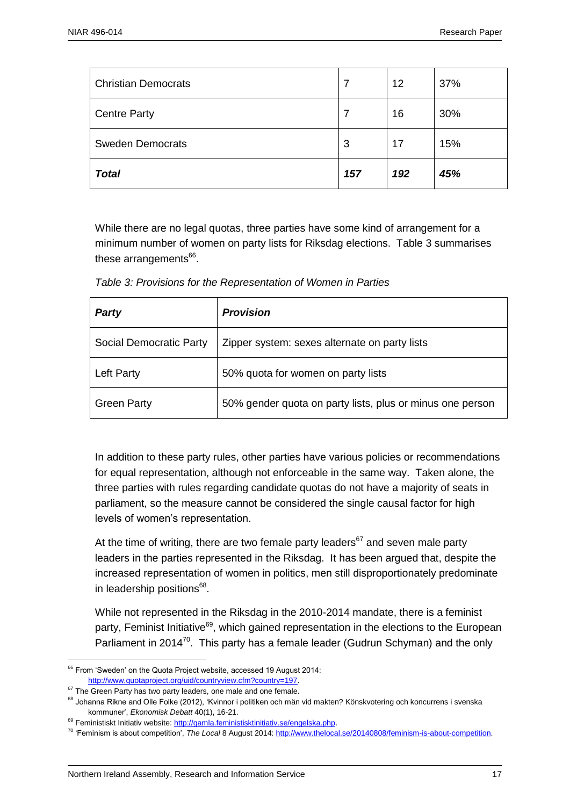| <b>Christian Democrats</b> |     | 12  | 37% |
|----------------------------|-----|-----|-----|
| <b>Centre Party</b>        |     | 16  | 30% |
| <b>Sweden Democrats</b>    | 3   | 17  | 15% |
| <b>Total</b>               | 157 | 192 | 45% |

While there are no legal quotas, three parties have some kind of arrangement for a minimum number of women on party lists for Riksdag elections. Table 3 summarises these arrangements<sup>66</sup>.

|  | Table 3: Provisions for the Representation of Women in Parties |
|--|----------------------------------------------------------------|
|--|----------------------------------------------------------------|

| <b>Party</b>            | <b>Provision</b>                                          |
|-------------------------|-----------------------------------------------------------|
| Social Democratic Party | Zipper system: sexes alternate on party lists             |
| <b>Left Party</b>       | 50% quota for women on party lists                        |
| <b>Green Party</b>      | 50% gender quota on party lists, plus or minus one person |

In addition to these party rules, other parties have various policies or recommendations for equal representation, although not enforceable in the same way. Taken alone, the three parties with rules regarding candidate quotas do not have a majority of seats in parliament, so the measure cannot be considered the single causal factor for high levels of women's representation.

At the time of writing, there are two female party leaders<sup>67</sup> and seven male party leaders in the parties represented in the Riksdag. It has been argued that, despite the increased representation of women in politics, men still disproportionately predominate in leadership positions<sup>68</sup>.

While not represented in the Riksdag in the 2010-2014 mandate, there is a feminist party, Feminist Initiative<sup>69</sup>, which gained representation in the elections to the European Parliament in 2014 $^{70}$ . This party has a female leader (Gudrun Schyman) and the only

<sup>&</sup>lt;sup>66</sup> From 'Sweden' on the Quota Project website, accessed 19 August 2014: [http://www.quotaproject.org/uid/countryview.cfm?country=197.](http://www.quotaproject.org/uid/countryview.cfm?country=197)

<sup>&</sup>lt;sup>67</sup> The Green Party has two party leaders, one male and one female.

<sup>&</sup>lt;sup>68</sup> Johanna Rikne and Olle Folke (2012), 'Kvinnor i politiken och män vid makten? Könskvotering och koncurrens i svenska kommuner', *Ekonomisk Debatt* 40(1), 16-21.

<sup>&</sup>lt;sup>69</sup> Feministiskt Initiativ website: http://gamla.feministisktinitiativ.se/engelska.php.

<sup>70</sup> 'Feminism is about competition', *The Local* 8 August 2014[: http://www.thelocal.se/20140808/feminism-is-about-competition.](http://www.thelocal.se/20140808/feminism-is-about-competition)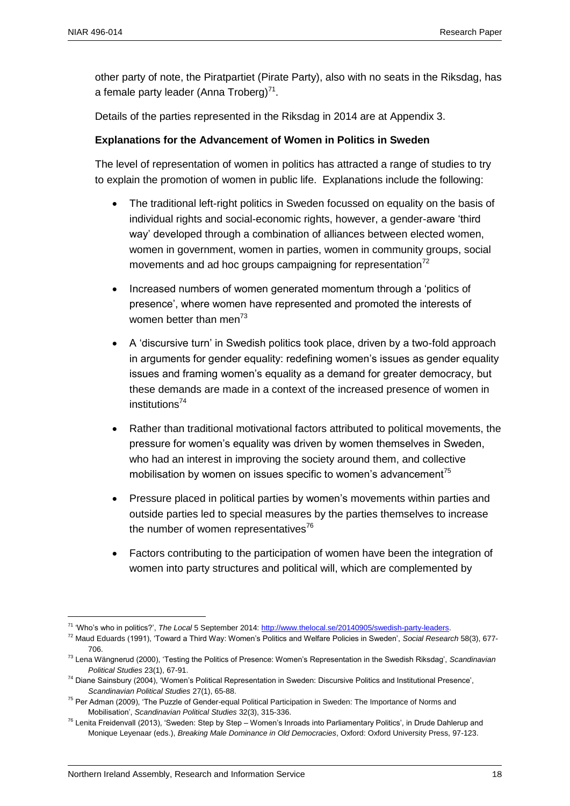$\overline{a}$ 

other party of note, the Piratpartiet (Pirate Party), also with no seats in the Riksdag, has a female party leader (Anna Troberg)<sup>71</sup>.

Details of the parties represented in the Riksdag in 2014 are at Appendix 3.

#### **Explanations for the Advancement of Women in Politics in Sweden**

The level of representation of women in politics has attracted a range of studies to try to explain the promotion of women in public life. Explanations include the following:

- The traditional left-right politics in Sweden focussed on equality on the basis of individual rights and social-economic rights, however, a gender-aware 'third way' developed through a combination of alliances between elected women, women in government, women in parties, women in community groups, social movements and ad hoc groups campaigning for representation<sup>72</sup>
- Increased numbers of women generated momentum through a 'politics of presence', where women have represented and promoted the interests of women better than men $^{73}$
- A 'discursive turn' in Swedish politics took place, driven by a two-fold approach in arguments for gender equality: redefining women's issues as gender equality issues and framing women's equality as a demand for greater democracy, but these demands are made in a context of the increased presence of women in institutions<sup>74</sup>
- Rather than traditional motivational factors attributed to political movements, the pressure for women's equality was driven by women themselves in Sweden, who had an interest in improving the society around them, and collective mobilisation by women on issues specific to women's advancement<sup>75</sup>
- Pressure placed in political parties by women's movements within parties and outside parties led to special measures by the parties themselves to increase the number of women representatives $76$
- Factors contributing to the participation of women have been the integration of women into party structures and political will, which are complemented by

<sup>71</sup> 'Who's who in politics?', *The Local* 5 September 2014: [http://www.thelocal.se/20140905/swedish-party-leaders.](http://www.thelocal.se/20140905/swedish-party-leaders)

<sup>72</sup> Maud Eduards (1991), 'Toward a Third Way: Women's Politics and Welfare Policies in Sweden', *Social Research* 58(3), 677- 706.

<sup>73</sup> Lena Wängnerud (2000), 'Testing the Politics of Presence: Women's Representation in the Swedish Riksdag', *Scandinavian Political Studies* 23(1), 67-91.

<sup>74</sup> Diane Sainsbury (2004), 'Women's Political Representation in Sweden: Discursive Politics and Institutional Presence', *Scandinavian Political Studies* 27(1), 65-88.

<sup>&</sup>lt;sup>75</sup> Per Adman (2009), 'The Puzzle of Gender-equal Political Participation in Sweden: The Importance of Norms and Mobilisation', *Scandinavian Political Studies* 32(3), 315-336.

<sup>&</sup>lt;sup>76</sup> Lenita Freidenvall (2013), 'Sweden: Step by Step – Women's Inroads into Parliamentary Politics', in Drude Dahlerup and Monique Leyenaar (eds.), *Breaking Male Dominance in Old Democracies*, Oxford: Oxford University Press, 97-123.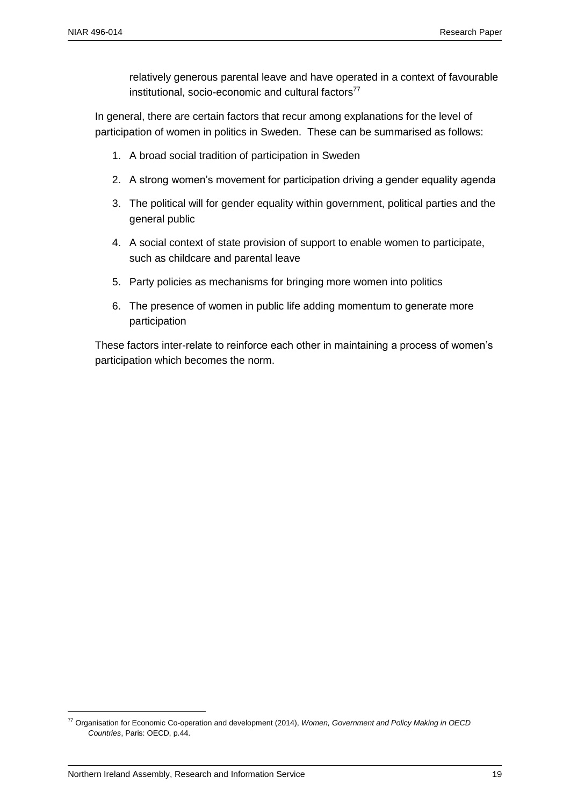relatively generous parental leave and have operated in a context of favourable institutional, socio-economic and cultural factors $77$ 

In general, there are certain factors that recur among explanations for the level of participation of women in politics in Sweden. These can be summarised as follows:

- 1. A broad social tradition of participation in Sweden
- 2. A strong women's movement for participation driving a gender equality agenda
- 3. The political will for gender equality within government, political parties and the general public
- 4. A social context of state provision of support to enable women to participate, such as childcare and parental leave
- 5. Party policies as mechanisms for bringing more women into politics
- 6. The presence of women in public life adding momentum to generate more participation

These factors inter-relate to reinforce each other in maintaining a process of women's participation which becomes the norm.

<sup>77</sup> Organisation for Economic Co-operation and development (2014), *Women, Government and Policy Making in OECD Countries*, Paris: OECD, p.44.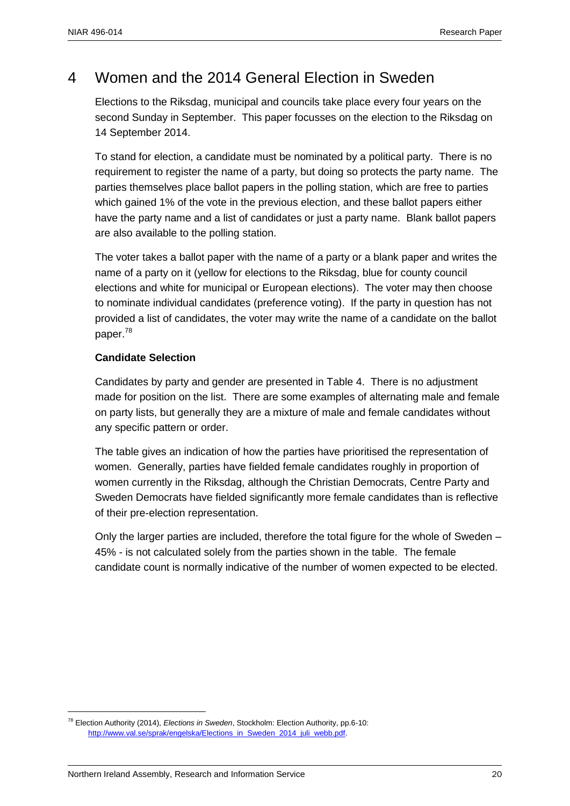### 4 Women and the 2014 General Election in Sweden

Elections to the Riksdag, municipal and councils take place every four years on the second Sunday in September. This paper focusses on the election to the Riksdag on 14 September 2014.

To stand for election, a candidate must be nominated by a political party. There is no requirement to register the name of a party, but doing so protects the party name. The parties themselves place ballot papers in the polling station, which are free to parties which gained 1% of the vote in the previous election, and these ballot papers either have the party name and a list of candidates or just a party name. Blank ballot papers are also available to the polling station.

The voter takes a ballot paper with the name of a party or a blank paper and writes the name of a party on it (yellow for elections to the Riksdag, blue for county council elections and white for municipal or European elections). The voter may then choose to nominate individual candidates (preference voting). If the party in question has not provided a list of candidates, the voter may write the name of a candidate on the ballot paper.<sup>78</sup>

#### **Candidate Selection**

Candidates by party and gender are presented in Table 4. There is no adjustment made for position on the list. There are some examples of alternating male and female on party lists, but generally they are a mixture of male and female candidates without any specific pattern or order.

The table gives an indication of how the parties have prioritised the representation of women. Generally, parties have fielded female candidates roughly in proportion of women currently in the Riksdag, although the Christian Democrats, Centre Party and Sweden Democrats have fielded significantly more female candidates than is reflective of their pre-election representation.

Only the larger parties are included, therefore the total figure for the whole of Sweden – 45% - is not calculated solely from the parties shown in the table. The female candidate count is normally indicative of the number of women expected to be elected.

<sup>78</sup> Election Authority (2014), *Elections in Sweden*, Stockholm: Election Authority, pp.6-10: [http://www.val.se/sprak/engelska/Elections\\_in\\_Sweden\\_2014\\_juli\\_webb.pdf.](http://www.val.se/sprak/engelska/Elections_in_Sweden_2014_juli_webb.pdf)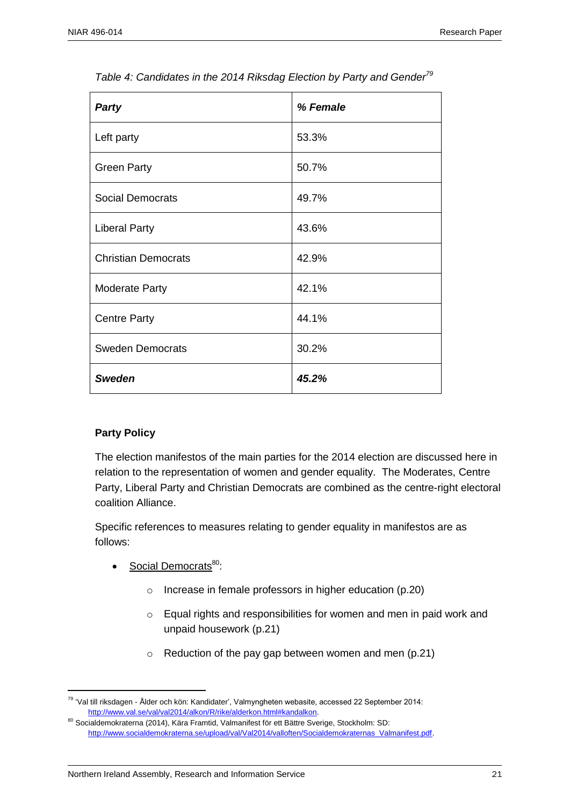| <b>Party</b>               | % Female |
|----------------------------|----------|
| Left party                 | 53.3%    |
| <b>Green Party</b>         | 50.7%    |
| Social Democrats           | 49.7%    |
| <b>Liberal Party</b>       | 43.6%    |
| <b>Christian Democrats</b> | 42.9%    |
| <b>Moderate Party</b>      | 42.1%    |
| <b>Centre Party</b>        | 44.1%    |
| <b>Sweden Democrats</b>    | 30.2%    |
| <b>Sweden</b>              | 45.2%    |

*Table 4: Candidates in the 2014 Riksdag Election by Party and Gender<sup>79</sup>*

#### **Party Policy**

The election manifestos of the main parties for the 2014 election are discussed here in relation to the representation of women and gender equality. The Moderates, Centre Party, Liberal Party and Christian Democrats are combined as the centre-right electoral coalition Alliance.

Specific references to measures relating to gender equality in manifestos are as follows:

- Social Democrats<sup>80</sup>:
	- o Increase in female professors in higher education (p.20)
	- o Equal rights and responsibilities for women and men in paid work and unpaid housework (p.21)
	- o Reduction of the pay gap between women and men (p.21)

 $\overline{a}$ <sup>79</sup> 'Val till riksdagen - Ålder och kön: Kandidater', Valmyngheten webasite, accessed 22 September 2014: [http://www.val.se/val/val2014/alkon/R/rike/alderkon.html#kandalkon.](http://www.val.se/val/val2014/alkon/R/rike/alderkon.html#kandalkon)

<sup>80</sup> Socialdemokraterna (2014), Kära Framtid, Valmanifest för ett Bättre Sverige, Stockholm: SD: [http://www.socialdemokraterna.se/upload/val/Val2014/valloften/Socialdemokraternas\\_Valmanifest.pdf.](http://www.socialdemokraterna.se/upload/val/Val2014/valloften/Socialdemokraternas_Valmanifest.pdf)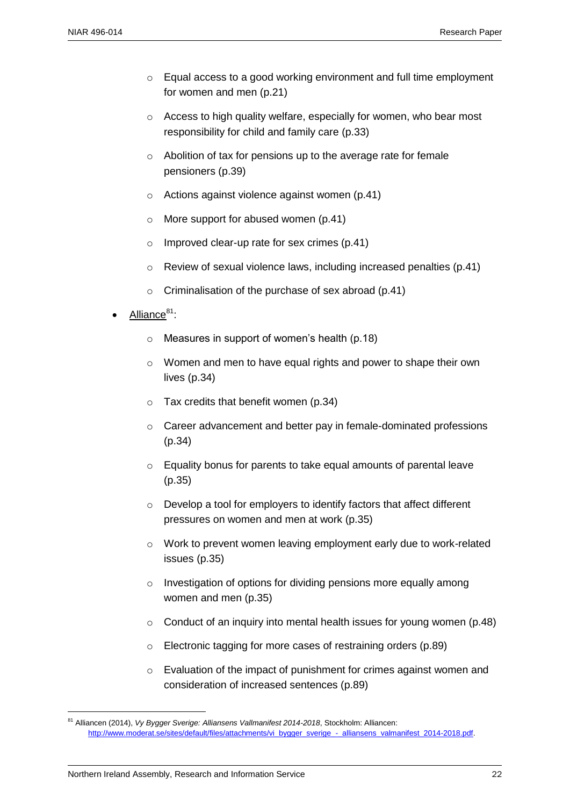- o Equal access to a good working environment and full time employment for women and men (p.21)
- o Access to high quality welfare, especially for women, who bear most responsibility for child and family care (p.33)
- o Abolition of tax for pensions up to the average rate for female pensioners (p.39)
- o Actions against violence against women (p.41)
- o More support for abused women (p.41)
- o Improved clear-up rate for sex crimes (p.41)
- o Review of sexual violence laws, including increased penalties (p.41)
- o Criminalisation of the purchase of sex abroad (p.41)
- Alliance<sup>81</sup>:
	- $\circ$  Measures in support of women's health (p.18)
	- o Women and men to have equal rights and power to shape their own lives (p.34)
	- $\circ$  Tax credits that benefit women (p.34)
	- o Career advancement and better pay in female-dominated professions (p.34)
	- o Equality bonus for parents to take equal amounts of parental leave (p.35)
	- o Develop a tool for employers to identify factors that affect different pressures on women and men at work (p.35)
	- o Work to prevent women leaving employment early due to work-related issues (p.35)
	- o Investigation of options for dividing pensions more equally among women and men (p.35)
	- $\circ$  Conduct of an inquiry into mental health issues for young women (p.48)
	- o Electronic tagging for more cases of restraining orders (p.89)
	- o Evaluation of the impact of punishment for crimes against women and consideration of increased sentences (p.89)

<sup>81</sup> Alliancen (2014), *Vy Bygger Sverige: Alliansens Vallmanifest 2014-2018*, Stockholm: Alliancen: [http://www.moderat.se/sites/default/files/attachments/vi\\_bygger\\_sverige\\_-\\_alliansens\\_valmanifest\\_2014-2018.pdf.](http://www.moderat.se/sites/default/files/attachments/vi_bygger_sverige_-_alliansens_valmanifest_2014-2018.pdf)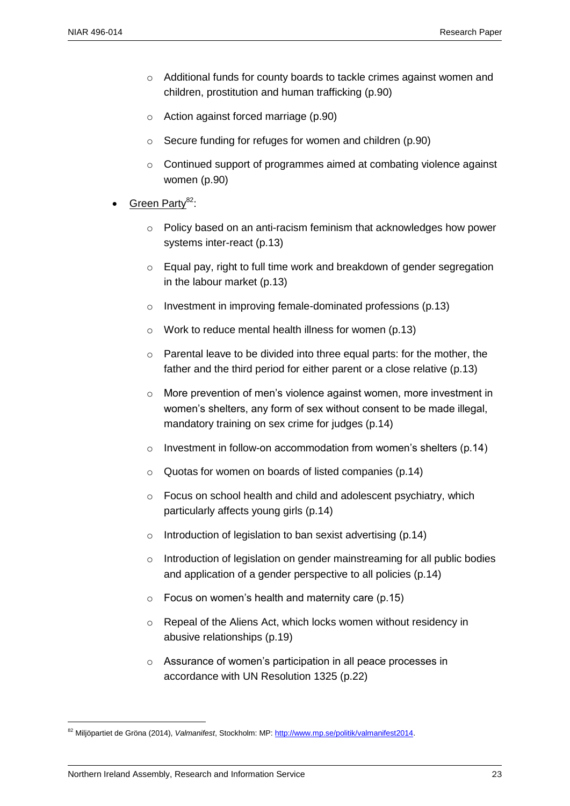- $\circ$  Additional funds for county boards to tackle crimes against women and children, prostitution and human trafficking (p.90)
- o Action against forced marriage (p.90)
- o Secure funding for refuges for women and children (p.90)
- $\circ$  Continued support of programmes aimed at combating violence against women (p.90)
- Green Partv<sup>82</sup>:
	- $\circ$  Policy based on an anti-racism feminism that acknowledges how power systems inter-react (p.13)
	- o Equal pay, right to full time work and breakdown of gender segregation in the labour market (p.13)
	- o Investment in improving female-dominated professions (p.13)
	- o Work to reduce mental health illness for women (p.13)
	- o Parental leave to be divided into three equal parts: for the mother, the father and the third period for either parent or a close relative (p.13)
	- o More prevention of men's violence against women, more investment in women's shelters, any form of sex without consent to be made illegal, mandatory training on sex crime for judges (p.14)
	- $\circ$  Investment in follow-on accommodation from women's shelters (p.14)
	- o Quotas for women on boards of listed companies (p.14)
	- o Focus on school health and child and adolescent psychiatry, which particularly affects young girls (p.14)
	- $\circ$  Introduction of legislation to ban sexist advertising (p.14)
	- o Introduction of legislation on gender mainstreaming for all public bodies and application of a gender perspective to all policies (p.14)
	- $\circ$  Focus on women's health and maternity care (p.15)
	- o Repeal of the Aliens Act, which locks women without residency in abusive relationships (p.19)
	- o Assurance of women's participation in all peace processes in accordance with UN Resolution 1325 (p.22)

<sup>82</sup> Miljöpartiet de Gröna (2014), *Valmanifest*, Stockholm: MP[: http://www.mp.se/politik/valmanifest2014.](http://www.mp.se/politik/valmanifest2014)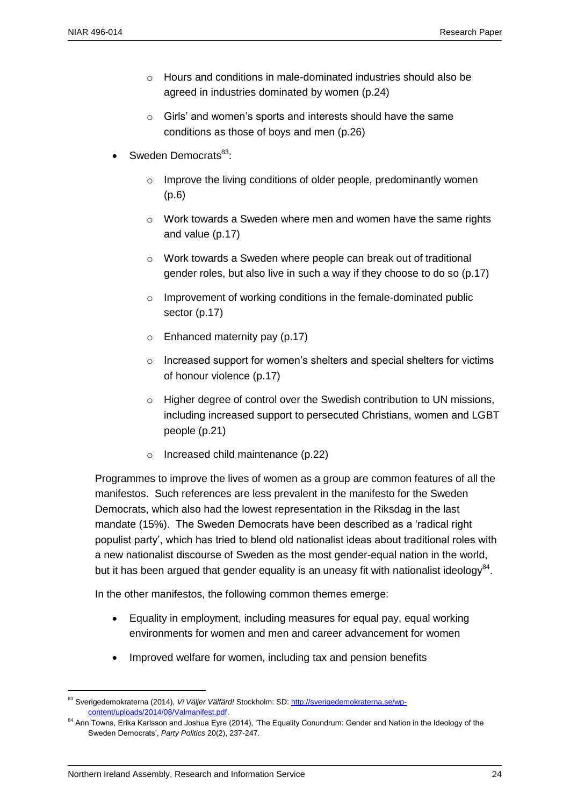- o Hours and conditions in male-dominated industries should also be agreed in industries dominated by women (p.24)
- o Girls' and women's sports and interests should have the same conditions as those of boys and men (p.26)
- Sweden Democrats<sup>83</sup>:
	- $\circ$  Improve the living conditions of older people, predominantly women (p.6)
	- o Work towards a Sweden where men and women have the same rights and value (p.17)
	- o Work towards a Sweden where people can break out of traditional gender roles, but also live in such a way if they choose to do so (p.17)
	- o Improvement of working conditions in the female-dominated public sector (p.17)
	- o Enhanced maternity pay (p.17)
	- o Increased support for women's shelters and special shelters for victims of honour violence (p.17)
	- $\circ$  Higher degree of control over the Swedish contribution to UN missions, including increased support to persecuted Christians, women and LGBT people (p.21)
	- o Increased child maintenance (p.22)

Programmes to improve the lives of women as a group are common features of all the manifestos. Such references are less prevalent in the manifesto for the Sweden Democrats, which also had the lowest representation in the Riksdag in the last mandate (15%). The Sweden Democrats have been described as a 'radical right populist party', which has tried to blend old nationalist ideas about traditional roles with a new nationalist discourse of Sweden as the most gender-equal nation in the world, but it has been argued that gender equality is an uneasy fit with nationalist ideology $^{84}$ .

In the other manifestos, the following common themes emerge:

- Equality in employment, including measures for equal pay, equal working environments for women and men and career advancement for women
- Improved welfare for women, including tax and pension benefits

<sup>83</sup> Sverigedemokraterna (2014), *Vi Väljer Välfärd!* Stockholm: SD[: http://sverigedemokraterna.se/wp](http://sverigedemokraterna.se/wp-content/uploads/2014/08/Valmanifest.pdf)[content/uploads/2014/08/Valmanifest.pdf.](http://sverigedemokraterna.se/wp-content/uploads/2014/08/Valmanifest.pdf)

<sup>&</sup>lt;sup>84</sup> Ann Towns, Erika Karlsson and Joshua Eyre (2014), 'The Equality Conundrum: Gender and Nation in the Ideology of the Sweden Democrats', *Party Politics* 20(2), 237-247.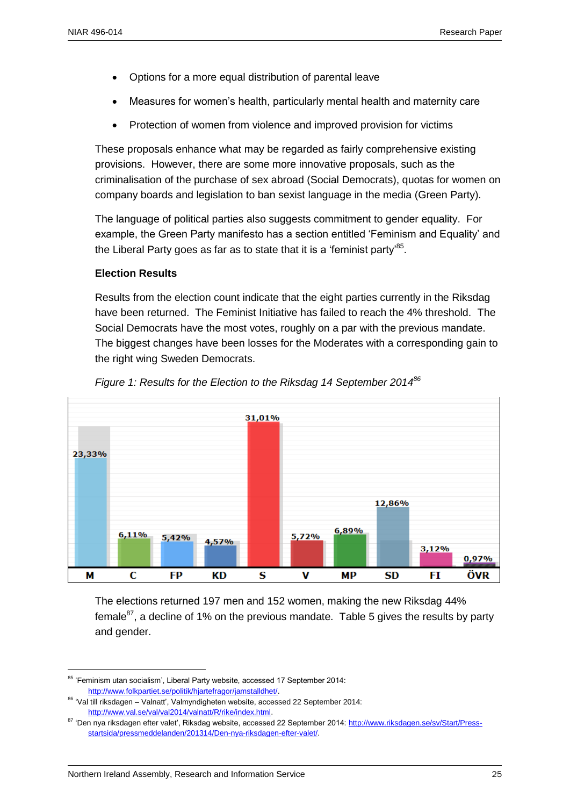- Options for a more equal distribution of parental leave
- Measures for women's health, particularly mental health and maternity care
- Protection of women from violence and improved provision for victims

These proposals enhance what may be regarded as fairly comprehensive existing provisions. However, there are some more innovative proposals, such as the criminalisation of the purchase of sex abroad (Social Democrats), quotas for women on company boards and legislation to ban sexist language in the media (Green Party).

The language of political parties also suggests commitment to gender equality. For example, the Green Party manifesto has a section entitled 'Feminism and Equality' and the Liberal Party goes as far as to state that it is a 'feminist party' $^{85}$ .

#### **Election Results**

Results from the election count indicate that the eight parties currently in the Riksdag have been returned. The Feminist Initiative has failed to reach the 4% threshold. The Social Democrats have the most votes, roughly on a par with the previous mandate. The biggest changes have been losses for the Moderates with a corresponding gain to the right wing Sweden Democrats.



*Figure 1: Results for the Election to the Riksdag 14 September 2014<sup>86</sup>*

The elections returned 197 men and 152 women, making the new Riksdag 44% female $^{87}$ , a decline of 1% on the previous mandate. Table 5 gives the results by party and gender.

<sup>&</sup>lt;sup>85</sup> 'Feminism utan socialism', Liberal Party website, accessed 17 September 2014: [http://www.folkpartiet.se/politik/hjartefragor/jamstalldhet/.](http://www.folkpartiet.se/politik/hjartefragor/jamstalldhet/)

<sup>86</sup> 'Val till riksdagen – Valnatt', Valmyndigheten website, accessed 22 September 2014: [http://www.val.se/val/val2014/valnatt/R/rike/index.html.](http://www.val.se/val/val2014/valnatt/R/rike/index.html)

<sup>&</sup>lt;sup>87</sup> 'Den nya riksdagen efter valet', Riksdag website, accessed 22 September 2014: [http://www.riksdagen.se/sv/Start/Press](http://www.riksdagen.se/sv/Start/Press-startsida/pressmeddelanden/201314/Den-nya-riksdagen-efter-valet/)[startsida/pressmeddelanden/201314/Den-nya-riksdagen-efter-valet/.](http://www.riksdagen.se/sv/Start/Press-startsida/pressmeddelanden/201314/Den-nya-riksdagen-efter-valet/)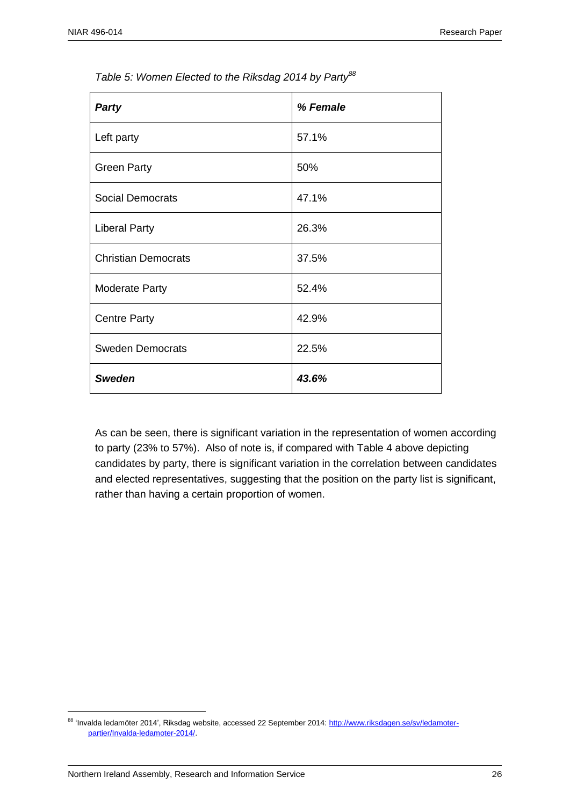| <b>Party</b>               | % Female |
|----------------------------|----------|
| Left party                 | 57.1%    |
| <b>Green Party</b>         | 50%      |
| <b>Social Democrats</b>    | 47.1%    |
| <b>Liberal Party</b>       | 26.3%    |
| <b>Christian Democrats</b> | 37.5%    |
| <b>Moderate Party</b>      | 52.4%    |
| <b>Centre Party</b>        | 42.9%    |
| <b>Sweden Democrats</b>    | 22.5%    |
| <b>Sweden</b>              | 43.6%    |

*Table 5: Women Elected to the Riksdag 2014 by Party<sup>88</sup>*

As can be seen, there is significant variation in the representation of women according to party (23% to 57%). Also of note is, if compared with Table 4 above depicting candidates by party, there is significant variation in the correlation between candidates and elected representatives, suggesting that the position on the party list is significant, rather than having a certain proportion of women.

<sup>&</sup>lt;sup>88</sup> 'Invalda ledamöter 2014', Riksdag website, accessed 22 September 2014[: http://www.riksdagen.se/sv/ledamoter](http://www.riksdagen.se/sv/ledamoter-partier/Invalda-ledamoter-2014/)[partier/Invalda-ledamoter-2014/.](http://www.riksdagen.se/sv/ledamoter-partier/Invalda-ledamoter-2014/)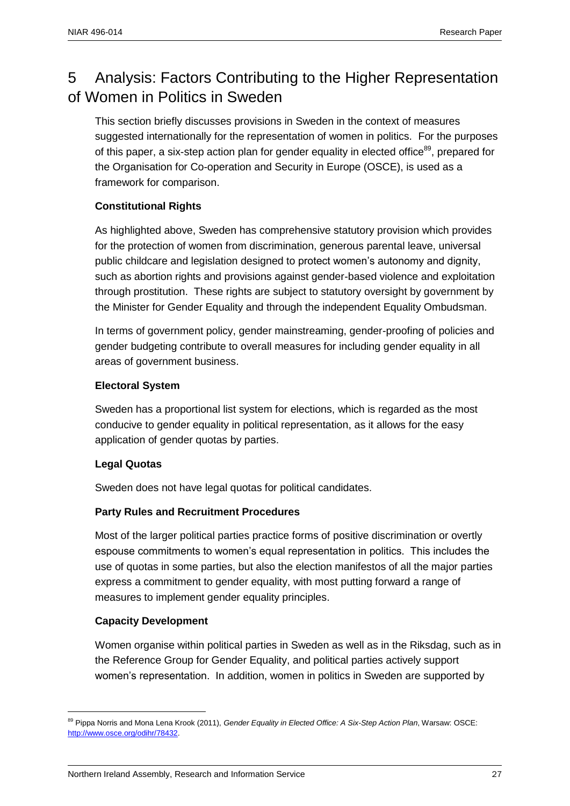# 5 Analysis: Factors Contributing to the Higher Representation of Women in Politics in Sweden

This section briefly discusses provisions in Sweden in the context of measures suggested internationally for the representation of women in politics. For the purposes of this paper, a six-step action plan for gender equality in elected office<sup>89</sup>, prepared for the Organisation for Co-operation and Security in Europe (OSCE), is used as a framework for comparison.

#### **Constitutional Rights**

As highlighted above, Sweden has comprehensive statutory provision which provides for the protection of women from discrimination, generous parental leave, universal public childcare and legislation designed to protect women's autonomy and dignity, such as abortion rights and provisions against gender-based violence and exploitation through prostitution. These rights are subject to statutory oversight by government by the Minister for Gender Equality and through the independent Equality Ombudsman.

In terms of government policy, gender mainstreaming, gender-proofing of policies and gender budgeting contribute to overall measures for including gender equality in all areas of government business.

#### **Electoral System**

Sweden has a proportional list system for elections, which is regarded as the most conducive to gender equality in political representation, as it allows for the easy application of gender quotas by parties.

#### **Legal Quotas**

Sweden does not have legal quotas for political candidates.

#### **Party Rules and Recruitment Procedures**

Most of the larger political parties practice forms of positive discrimination or overtly espouse commitments to women's equal representation in politics. This includes the use of quotas in some parties, but also the election manifestos of all the major parties express a commitment to gender equality, with most putting forward a range of measures to implement gender equality principles.

#### **Capacity Development**

 $\overline{a}$ 

Women organise within political parties in Sweden as well as in the Riksdag, such as in the Reference Group for Gender Equality, and political parties actively support women's representation. In addition, women in politics in Sweden are supported by

<sup>89</sup> Pippa Norris and Mona Lena Krook (2011), *Gender Equality in Elected Office: A Six-Step Action Plan*, Warsaw: OSCE: [http://www.osce.org/odihr/78432.](http://www.osce.org/odihr/78432)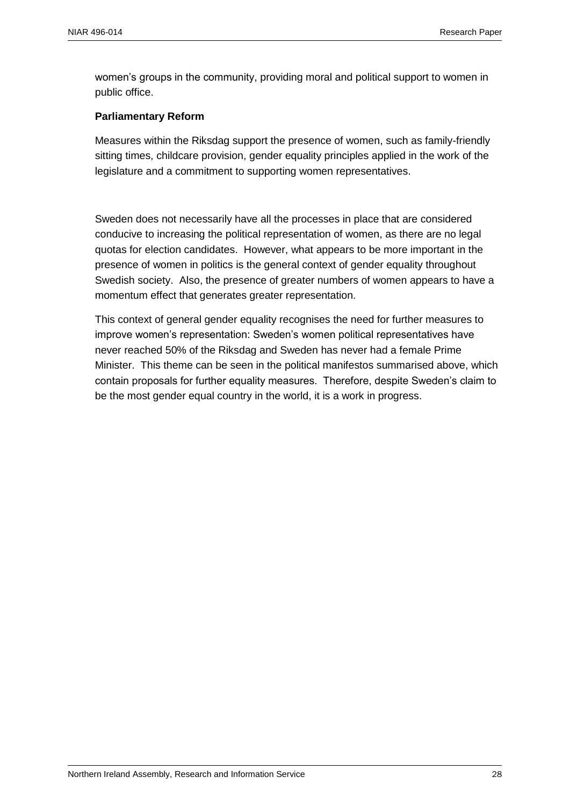women's groups in the community, providing moral and political support to women in public office.

#### **Parliamentary Reform**

Measures within the Riksdag support the presence of women, such as family-friendly sitting times, childcare provision, gender equality principles applied in the work of the legislature and a commitment to supporting women representatives.

Sweden does not necessarily have all the processes in place that are considered conducive to increasing the political representation of women, as there are no legal quotas for election candidates. However, what appears to be more important in the presence of women in politics is the general context of gender equality throughout Swedish society. Also, the presence of greater numbers of women appears to have a momentum effect that generates greater representation.

This context of general gender equality recognises the need for further measures to improve women's representation: Sweden's women political representatives have never reached 50% of the Riksdag and Sweden has never had a female Prime Minister. This theme can be seen in the political manifestos summarised above, which contain proposals for further equality measures. Therefore, despite Sweden's claim to be the most gender equal country in the world, it is a work in progress.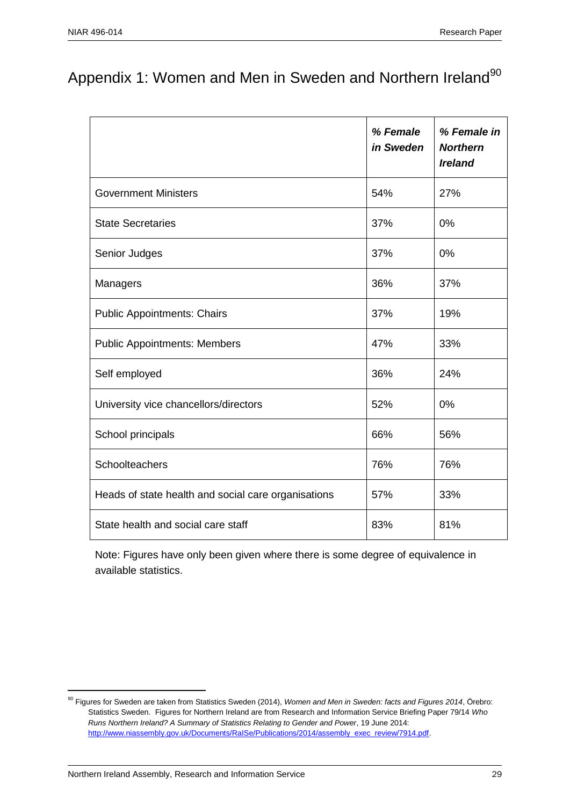# Appendix 1: Women and Men in Sweden and Northern Ireland<sup>90</sup>

|                                                     | % Female<br>in Sweden | % Female in<br><b>Northern</b><br><b>Ireland</b> |
|-----------------------------------------------------|-----------------------|--------------------------------------------------|
| <b>Government Ministers</b>                         | 54%                   | 27%                                              |
| <b>State Secretaries</b>                            | 37%                   | 0%                                               |
| Senior Judges                                       | 37%                   | 0%                                               |
| Managers                                            | 36%                   | 37%                                              |
| <b>Public Appointments: Chairs</b>                  | 37%                   | 19%                                              |
| <b>Public Appointments: Members</b>                 | 47%                   | 33%                                              |
| Self employed                                       | 36%                   | 24%                                              |
| University vice chancellors/directors               | 52%                   | 0%                                               |
| School principals                                   | 66%                   | 56%                                              |
| Schoolteachers                                      | 76%                   | 76%                                              |
| Heads of state health and social care organisations | 57%                   | 33%                                              |
| State health and social care staff                  | 83%                   | 81%                                              |

Note: Figures have only been given where there is some degree of equivalence in available statistics.

<sup>90</sup> Figures for Sweden are taken from Statistics Sweden (2014), *Women and Men in Sweden: facts and Figures 2014*, Örebro: Statistics Sweden. Figures for Northern Ireland are from Research and Information Service Briefing Paper 79/14 *Who Runs Northern Ireland? A Summary of Statistics Relating to Gender and Power*, 19 June 2014: [http://www.niassembly.gov.uk/Documents/RaISe/Publications/2014/assembly\\_exec\\_review/7914.pdf.](http://www.niassembly.gov.uk/Documents/RaISe/Publications/2014/assembly_exec_review/7914.pdf)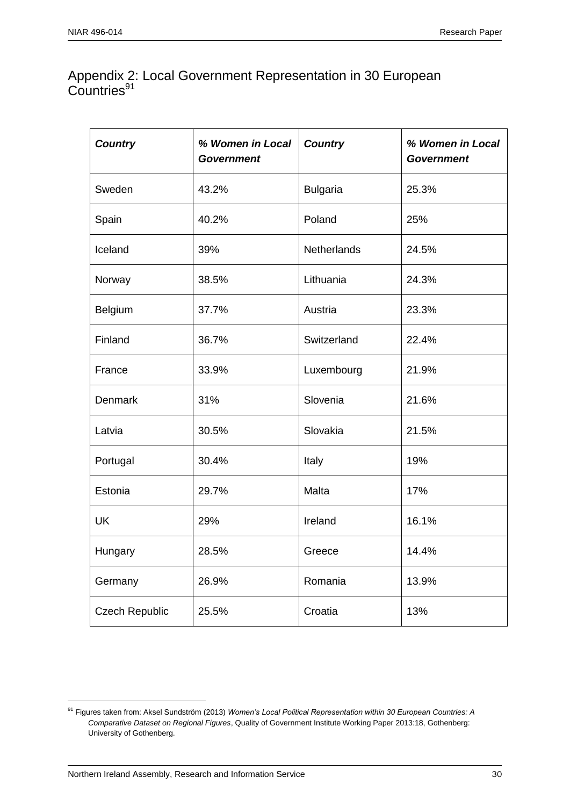### Appendix 2: Local Government Representation in 30 European Countries<sup>91</sup>

| <b>Country</b>        | % Women in Local<br><b>Government</b> | <b>Country</b>     | % Women in Local<br><b>Government</b> |
|-----------------------|---------------------------------------|--------------------|---------------------------------------|
| Sweden                | 43.2%                                 | <b>Bulgaria</b>    | 25.3%                                 |
| Spain                 | 40.2%                                 | Poland             | 25%                                   |
| Iceland               | 39%                                   | <b>Netherlands</b> | 24.5%                                 |
| Norway                | 38.5%                                 | Lithuania          | 24.3%                                 |
| Belgium               | 37.7%                                 | Austria            | 23.3%                                 |
| Finland               | 36.7%                                 | Switzerland        | 22.4%                                 |
| France                | 33.9%                                 | Luxembourg         | 21.9%                                 |
| Denmark               | 31%                                   | Slovenia           | 21.6%                                 |
| Latvia                | 30.5%                                 | Slovakia           | 21.5%                                 |
| Portugal              | 30.4%                                 | Italy              | 19%                                   |
| Estonia               | 29.7%                                 | Malta              | 17%                                   |
| <b>UK</b>             | 29%                                   | Ireland            | 16.1%                                 |
| Hungary               | 28.5%                                 | Greece             | 14.4%                                 |
| Germany               | 26.9%                                 | Romania            | 13.9%                                 |
| <b>Czech Republic</b> | 25.5%                                 | Croatia            | 13%                                   |

<sup>&</sup>lt;sup>91</sup> Figures taken from: Aksel Sundström (2013) *Women's Local Political Representation within 30 European Countries: A Comparative Dataset on Regional Figures*, Quality of Government Institute Working Paper 2013:18, Gothenberg: University of Gothenberg.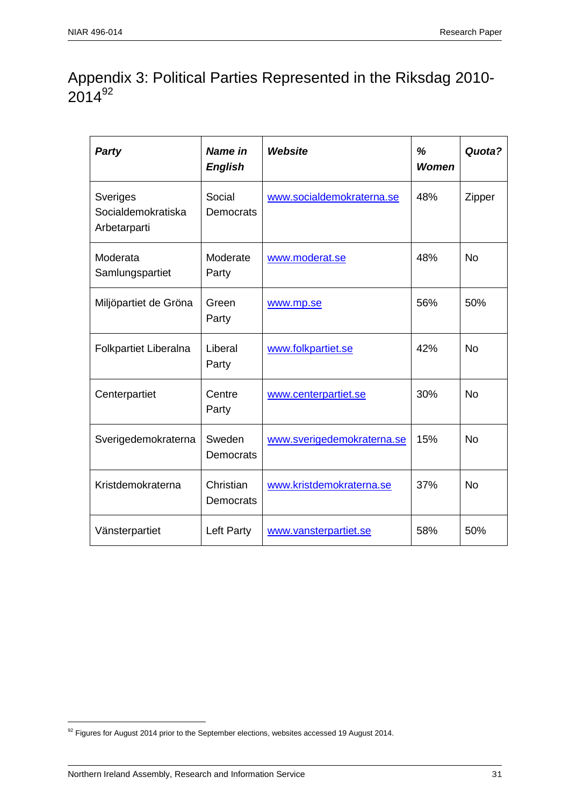# Appendix 3: Political Parties Represented in the Riksdag 2010-  $2014^{92}$

| <b>Party</b>                                   | Name in<br><b>English</b>  | <b>Website</b>             | %<br><b>Women</b> | Quota?    |
|------------------------------------------------|----------------------------|----------------------------|-------------------|-----------|
| Sveriges<br>Socialdemokratiska<br>Arbetarparti | Social<br><b>Democrats</b> | www.socialdemokraterna.se  | 48%               | Zipper    |
| Moderata<br>Samlungspartiet                    | Moderate<br>Party          | www.moderat.se             | 48%               | <b>No</b> |
| Miljöpartiet de Gröna                          | Green<br>Party             | www.mp.se                  | 56%               | 50%       |
| <b>Folkpartiet Liberalna</b>                   | Liberal<br>Party           | www.folkpartiet.se         | 42%               | <b>No</b> |
| Centerpartiet                                  | Centre<br>Party            | www.centerpartiet.se       | 30%               | <b>No</b> |
| Sverigedemokraterna                            | Sweden<br>Democrats        | www.sverigedemokraterna.se | 15%               | <b>No</b> |
| Kristdemokraterna                              | Christian<br>Democrats     | www.kristdemokraterna.se   | 37%               | <b>No</b> |
| Vänsterpartiet                                 | Left Party                 | www.vansterpartiet.se      | 58%               | 50%       |

 $^{92}$  Figures for August 2014 prior to the September elections, websites accessed 19 August 2014.